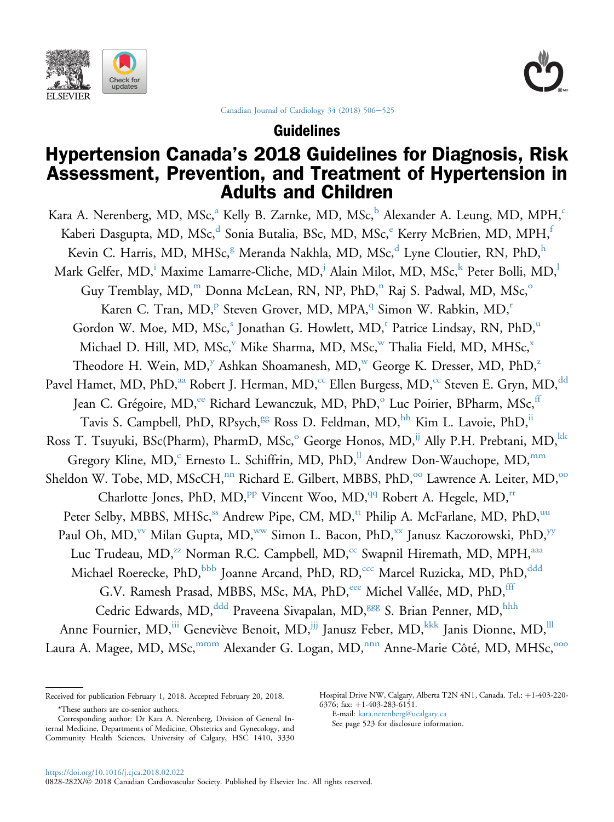<span id="page-0-0"></span>



[Canadian Journal of Cardiology 34 \(2018\) 506](https://doi.org/10.1016/j.cjca.2018.02.022)-[525](https://doi.org/10.1016/j.cjca.2018.02.022)

Guidelines

# Hypertension Canada's 2018 Guidelines for Diagnosis, Risk Assessment, Prevention, and Treatment of Hypertension in Adults and Children

Kara A. Nerenberg, MD, MSc,<sup>a</sup> Kelly B. Zarnke, MD, MSc,<sup>b</sup> Alexander A. Leung, MD, MPH,<sup>c</sup> Kaberi Dasgupta, MD, MSc,<sup>d</sup> Sonia Butalia, BSc, MD, MSc, $\text{K}$ erry McBrien, MD, MPH, Kevin C. Harris, MD, MHSc,<sup>g</sup> Meranda Nakhla, MD, MSc,<sup>d</sup> Lyne Cloutier, RN, PhD,<sup>h</sup> Mark Gelfer, MD,<sup>i</sup> Maxime Lamarre-Cliche, MD,<sup>j</sup> Alain Milot, MD, MSc,<sup>k</sup> Peter Bolli, MD,<sup>l</sup> Guy Tremblay,  $MD$ ,<sup>m</sup> Donna McLean, RN, NP, PhD,<sup>n</sup> Raj S. Padwal, MD, MSc,<sup>o</sup> Karen C. Tran, MD,<sup>p</sup> Steven Grover, MD, MPA,<sup>q</sup> Simon W. Rabkin, MD,<sup>r</sup> Gordon W. Moe, MD, MSc,<sup>s</sup> Jonathan G. Howlett, MD,<sup>t</sup> Patrice Lindsay, RN, PhD,<sup>u</sup> Michael D. Hill, MD, MSc,<sup>v</sup> Mike Sharma, MD, MSc,<sup>w</sup> Thalia Field, MD, MHSc,<sup>x</sup> Theodore H. Wein, MD,<sup>y</sup> Ashkan Shoamanesh, MD,<sup>w</sup> George K. Dresser, MD, PhD,<sup>z</sup> Pavel Hamet, MD, PhD,<sup>aa</sup> Robert J. Herman, MD,<sup>cc</sup> Ellen Burgess, MD,<sup>cc</sup> Steven E. Gryn, MD,<sup>dd</sup> Jean C. Grégoire, MD,<sup>ee</sup> Richard Lewanczuk, MD, PhD,<sup>o</sup> Luc Poirier, BPharm, MSc,<sup>ff</sup> Tavis S. Campbell, PhD, RPsych,<sup>gg</sup> Ross D. Feldman, MD,<sup>hh</sup> Kim L. Lavoie, PhD,<sup>ii</sup> Ross T. Tsuyuki, BSc(Pharm), PharmD, MSc,<sup>o</sup> George Honos, MD,<sup>jj</sup> Ally P.H. Prebtani, MD,<sup>kk</sup> Gregory Kline, MD,<sup>c</sup> Ernesto L. Schiffrin, MD, PhD,<sup>ll</sup> Andrew Don-Wauchope, MD,<sup>mm</sup> Sheldon W. Tobe, MD, MScCH,<sup>nn</sup> Richard E. Gilbert, MBBS, PhD,<sup>oo</sup> Lawrence A. Leiter, MD,<sup>oo</sup> Charlotte Jones, PhD, MD,<sup>pp</sup> Vincent Woo, MD,<sup>qq</sup> Robert A. Hegele, MD,<sup>rr</sup> Peter Selby, MBBS, MHSc,<sup>ss</sup> Andrew Pipe, CM, MD,<sup>tt</sup> Philip A. McFarlane, MD, PhD,<sup>uu</sup> Paul Oh, MD,<sup>vv</sup> Milan Gupta, MD,<sup>ww</sup> Simon L. Bacon, PhD,<sup>xx</sup> Janusz Kaczorowski, PhD,<sup>yy</sup> Luc Trudeau, MD,<sup>77</sup> Norman R.C. Campbell, MD,<sup>cc</sup> Swapnil Hiremath, MD, MPH,<sup>aaa</sup> Michael Roerecke, PhD, bbb Joanne Arcand, PhD, RD,<sup>ccc</sup> Marcel Ruzicka, MD, PhD, <sup>ddd</sup> G.V. Ramesh Prasad, MBBS, MSc, MA, PhD,<sup>eee</sup> Michel Vallée, MD, PhD,<sup>fff</sup> Cedric Edwards, MD,<sup>ddd</sup> Praveena Sivapalan, MD,<sup>ggg</sup> S. Brian Penner, MD,<sup>hhh</sup> Anne Fournier, MD, iii Geneviève Benoit, MD, <sup>jjj</sup> Janusz Feber, MD, <sup>kkk</sup> Janis Dionne, MD, <sup>III</sup> Laura A. Magee, MD, MSc, mmm Alexander G. Logan, MD, nnn Anne-Marie Côté, MD, MHSc, OOO

Hospital Drive NW, Calgary, Alberta T2N 4N1, Canada. Tel.: +1-403-220-6376; fax:  $+1-403-283-6151$ .

E-mail: [kara.nerenberg@ucalgary.ca](mailto:kara.nerenberg@ucalgary.ca)

See page 523 for disclosure information.

Received for publication February 1, 2018. Accepted February 20, 2018.

<sup>\*</sup>These authors are co-senior authors.

Corresponding author: Dr Kara A. Nerenberg, Division of General Internal Medicine, Departments of Medicine, Obstetrics and Gynecology, and Community Health Sciences, University of Calgary, HSC 1410, 3330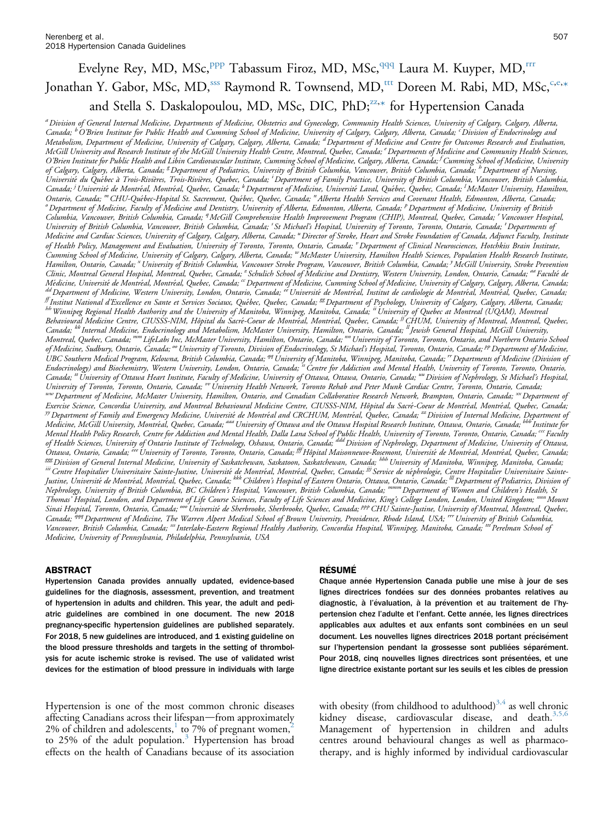# Evelyne Rey, MD, MSc, <sup>ppp</sup> Tabassum Firoz, MD, MSc, <sup>qqq</sup> Laura M. Kuyper, MD,<sup>rrr</sup> Jonathan Y. Gabor, MSc, MD,<sup>sss</sup> Raymond R. Townsend, MD,<sup>ttt</sup> Doreen M. Rabi, MD, MSc,<sup>c,e,</sup>[\\*](#page-0-0) and Stella S. Daskalopoulou, MD, MSc, DIC, PhD;<sup>22,[\\*](#page-0-0)</sup> for Hypertension Canada

a Division of General Internal Medicine, Departments of Medicine, Obstetrics and Gynecology, Community Health Sciences, University of Calgary, Calgary, Alberta, Canada; <sup>b</sup>O'Brien Institute for Public Health and Cumming School of Medicine, University of Calgary, Calgary, Alberta, Canada; <sup>c</sup>Division of Endocrinology and<br>Metabolism, Department of Medicine, University of Calgary, Ca McGill University and Research Institute of the McGill University Health Centre, Montreal, Quebec, Canada; <sup>e</sup> Departments of Medicine and Community Health Sciences, O'Brien Institute for Public Health and Libin Cardiovascular Institute, Cumming School of Medicine, Calgary, Alberta, Canada; <sup>I</sup> Cumming School of Medicine, University of Calgary, Calgary, Alberta, Canada; <sup>g</sup> Department of Pediatrics, University of British Columbia, Vancouver, British Columbia, Canada; <sup>h</sup> Department of Nursing,<br>Université du Québec à Trois-Rivières, Trois-Rivières, Que Canada; <sup>j</sup> Université de Montréal, Montréal, Quebec, Canada; <sup>k</sup> Department of Medicine, Université Laval, Québec, Quebec, Canada; <sup>i</sup> McMaster University, Hamilton, Ontario, Canada; "CHU-Québec-Hopital St. Sacrement, Québec, Quebec, Canada; "Alberta Health Services and Covenant Health, Edmonton, Alberta, Canada; Department of Medicine, Faculty of Medicine and Dentistry, University of Alberta, Edmonton, Alberta, Canada; <sup>p</sup> Department of Medicine, University of British Columbia, Vancouver, British Columbia, Canada; <sup>a</sup> McGill Comprehensive Health Improvement Program (CHIP), Montreal, Quebec, Canada; <sup>r</sup> Vancouver Hospital, University of British Columbia, Vancouver, British Columbia, Canada; 'St Michael's Hospital, University of Toronto, Toronto, Ontario, Canada; <sup>t</sup> Departments of .<br>Medicine and Cardiac Sciences, University of Calgary, Calgary, Alberta, Canada; "Director of Stroke, Heart and Stroke Foundation of Canada, Adjunct Faculty, Institute of Health Policy, Management and Evaluation, University of Toronto, Toronto, Ontario, Čanada; <sup>v</sup> Department of Clinical Neurosciences, Hotchkiss Brain Institute, Cumming School of Medicine, University of Calgary, Calgary, Alberta, Canada; "McMaster University, Hamilton Health Sciences, Population Health Research Institute, Hamilton, Ontario, Canada; <sup>x</sup> University of British Columbia, Vancouver Stroke Program, Vancouver, British Columbia, Canada; <sup>y</sup> McGill University, Stroke Prevention Clinic, Montreal General Hospital, Montreal, Quebec, Canada; <sup>z</sup> Schulich School of Medicine and Dentistry, Western University, London, Ontario, Canada; <sup>aa</sup> Faculté de Médicine, Université de Montréal, Montréal, Quebec, Canada; "Department of Medicine, Cumming School of Medicine, University of Calgary, Calgary, Alberta, Canada;<br><sup>dd</sup> Department of Medicine, Western University, London, Ont Behavioural Medicine Centre, CIUSSS-NIM, Hôpital du Sacré-Coeur de Montréal, Montréal, Quebec, Canada; <sup>jj</sup>CHUM, University of Montreal, Montreal, Quebec, Canada; <sup>kk</sup> Internal Medicine, Endocrinology and Metabolism, McMaster University, Hamilton, Ontario, Canada; <sup>u</sup> Jewish General Hospital, McGill University, Montreal, Quebec, Canada; <sup>mm</sup> LifeLabs Inc, McMaster University, Hamilton, Ontario, Canada; <sup>mn</sup> University of Toronto, Toronto, Ontario, and Northern Ontario School of Medicine, Sudbury, Ontario, Canada; <sup>oo</sup> University of Toronto, Division of Endocrinology, St Michael's Hospital, Toronto, Ontario, Canada; <sup>pp</sup> Department of Medicine, UBC Southern Medical Program, Kelowna, British Columbia, Canada; <sup>94</sup> University of Manitoba, Winnipeg, Manitoba, Canada; <sup>17</sup> Departments of Medicine (Division of Endocrinology) and Biochemistry, Western University, London, Ontario, Canada; <sup>is</sup> Centre for Addiction and Mental Health, University of Toronto, Toronto, Ontario, Canada; "University of Ottawa Heart Institute, Faculty of Medicine, University of Ottawa, Ottawa, Ontario, Canada; ""Division of Nephrology, St Michael's Hospital, University of Toronto, Toronto, Ontario, Canada; <sup>vv</sup> University Health Network, Toronto Rehab and Peter Munk Cardiac Centre, Toronto, Ontario, Canada;<br><sup>ww</sup> Department of Medicine, McMaster University, Hamilton, Ontario, a Exercise Science, Concordia University, and Montreal Behavioural Medicine Centre, CIUSSS-NIM, Hôpital du Sacré-Coeur de Montréal, Montréal, Quebec, Canada;<br><sup>yy</sup> Department of Family and Emergency Medicine, Université de Mo Medicine, McGill University, Montréal, Quebec, Canada; <sup>aaa</sup> University of Ottawa and the Ottawa Hospital Research Institute, Ottawa, Ontario, Canada; <sup>bbb </sup>Institute for Mental Health Policy Research, Centre for Addiction and Mental Health, Dalla Lana School of Public Health, University of Toronto, Toronto, Ontario, Canada; <sup>ccc</sup> Faculty of Health Sciences, University of Ontario Institute of Technology, Oshawa, Ontario, Canada; <sup>ddd</sup> Division of Nephrology, Department of Medicine, University of Ottawa, Ottawa, Ontario, Canada; <sup>see</sup> University of Toronto, Toronto, Ontario, Canada; <sup>III</sup> Hôpital Maisonneuve-Rosemont, Université de Montréal, Montréal, Quebec, Canada;<br><sup>ggg</sup> Division of General Internal Medicine, University Justine, Universite de Montreal, Montreal, Quebec, Canada; <sup>kkk</sup> Children's Hospital of Eastern Ontario, Ottawa, Ontario, Canada; <sup>Ill</sup> Department of Pediatrics, Division of Nephrology, University of British Columbia, BC Children's Hospital, Vancouver, British Columbia, Canada; mmmDepartment of Women and Children's Health, St Thomas' Hospital, London, and Department of Life Course Sciences, Faculty of Life Sciences and Medicine, King's College London, London, United Kingdom; <sup>nnn</sup> Mount Sinai Hospital, Toronto, Ontario, Canada; <sup>ooo</sup>Université de Sherbrooke, Sherbrooke, Quebec, Canada; <sup>ppp</sup>CHU Sainte-Justine, University of Montreal, Montreal, Quebec, Canada; <sup>494</sup> Department of Medicine, The Warren Alpert Medical School of Brown University, Providence, Rhode Island, USA; <sup>rr</sup> University of British Columbia, Vancouver, British Columbia, Canada; <sup>ass</sup>Interlake-Eastern Regional Healthy Authority, Concordia Hospital, Winnipeg, Manitoba, Canada; <sup>ttt</sup> Perelman School of Medicine, University of Pennsylvania, Philadelphia, Pennsylvania, USA

#### ABSTRACT

Hypertension Canada provides annually updated, evidence-based guidelines for the diagnosis, assessment, prevention, and treatment of hypertension in adults and children. This year, the adult and pediatric guidelines are combined in one document. The new 2018 pregnancy-specific hypertension guidelines are published separately. For 2018, 5 new guidelines are introduced, and 1 existing guideline on the blood pressure thresholds and targets in the setting of thrombolysis for acute ischemic stroke is revised. The use of validated wrist devices for the estimation of blood pressure in individuals with large

Hypertension is one of the most common chronic diseases affecting Canadians across their lifespan—from approximately [2](#page-17-0)% of children and adolescents, $\frac{1}{2}$  $\frac{1}{2}$  $\frac{1}{2}$  to 7% of pregnant women,<sup>2</sup> to 25% of the adult population.<sup>[3](#page-17-0)</sup> Hypertension has broad effects on the health of Canadians because of its association

#### **RÉSUMÉ**

Chaque année Hypertension Canada publie une mise à jour de ses lignes directrices fondées sur des données probantes relatives au diagnostic, à l'évaluation, à la prévention et au traitement de l'hypertension chez l'adulte et l'enfant. Cette année, les lignes directrices applicables aux adultes et aux enfants sont combinées en un seul document. Les nouvelles lignes directrices 2018 portant précisément sur l'hypertension pendant la grossesse sont publiées séparément. Pour 2018, cinq nouvelles lignes directrices sont présentées, et une ligne directrice existante portant sur les seuils et les cibles de pression

with obesity (from childhood to adulthood) $3,4$  as well chronic kidney disease, cardiovascular disease, and death.<sup>[3,5,6](#page-17-0)</sup> Management of hypertension in children and adults centres around behavioural changes as well as pharmacotherapy, and is highly informed by individual cardiovascular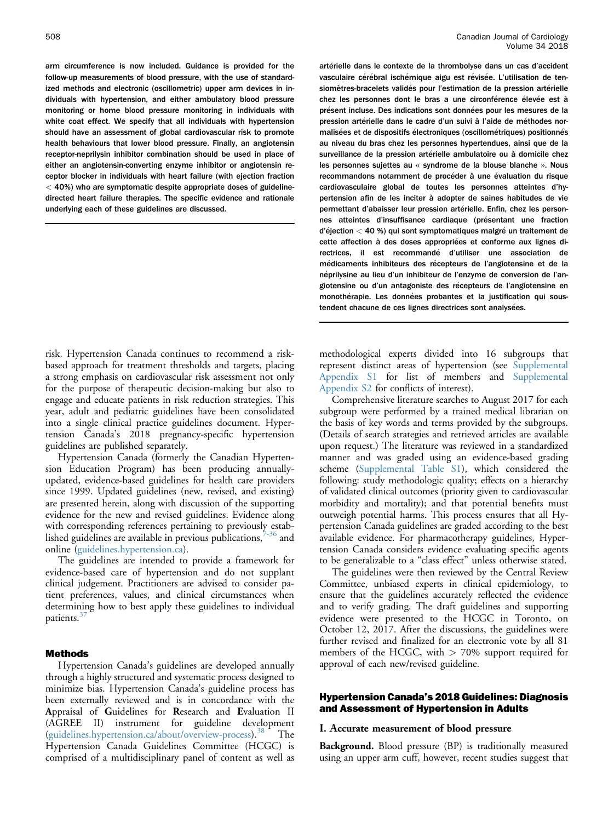arm circumference is now included. Guidance is provided for the follow-up measurements of blood pressure, with the use of standardized methods and electronic (oscillometric) upper arm devices in individuals with hypertension, and either ambulatory blood pressure monitoring or home blood pressure monitoring in individuals with white coat effect. We specify that all individuals with hypertension should have an assessment of global cardiovascular risk to promote health behaviours that lower blood pressure. Finally, an angiotensin receptor-neprilysin inhibitor combination should be used in place of either an angiotensin-converting enzyme inhibitor or angiotensin receptor blocker in individuals with heart failure (with ejection fraction  $<$  40%) who are symptomatic despite appropriate doses of guidelinedirected heart failure therapies. The specific evidence and rationale underlying each of these guidelines are discussed.

risk. Hypertension Canada continues to recommend a riskbased approach for treatment thresholds and targets, placing a strong emphasis on cardiovascular risk assessment not only for the purpose of therapeutic decision-making but also to engage and educate patients in risk reduction strategies. This year, adult and pediatric guidelines have been consolidated into a single clinical practice guidelines document. Hypertension Canada's 2018 pregnancy-specific hypertension guidelines are published separately.

Hypertension Canada (formerly the Canadian Hypertension Education Program) has been producing annuallyupdated, evidence-based guidelines for health care providers since 1999. Updated guidelines (new, revised, and existing) are presented herein, along with discussion of the supporting evidence for the new and revised guidelines. Evidence along with corresponding references pertaining to previously established guidelines are available in previous publications,  $7-36$  and online ([guidelines.hypertension.ca](http://guidelines.hypertension.ca)).

The guidelines are intended to provide a framework for evidence-based care of hypertension and do not supplant clinical judgement. Practitioners are advised to consider patient preferences, values, and clinical circumstances when determining how to best apply these guidelines to individual patients.<sup>3</sup>

#### Methods

Hypertension Canada's guidelines are developed annually through a highly structured and systematic process designed to minimize bias. Hypertension Canada's guideline process has been externally reviewed and is in concordance with the Appraisal of Guidelines for Research and Evaluation II (AGREE II) instrument for guideline development [\(guidelines.hypertension.ca/about/overview-process](http://guidelines.hypertension.ca/about/overview-process)).[38](#page-18-0) The Hypertension Canada Guidelines Committee (HCGC) is comprised of a multidisciplinary panel of content as well as

artérielle dans le contexte de la thrombolyse dans un cas d'accident vasculaire cérébral ischémique aigu est révisée. L'utilisation de tensiomètres-bracelets validés pour l'estimation de la pression artérielle chez les personnes dont le bras a une circonférence élevée est à présent incluse. Des indications sont données pour les mesures de la pression artérielle dans le cadre d'un suivi à l'aide de méthodes normalisées et de dispositifs électroniques (oscillométriques) positionnés au niveau du bras chez les personnes hypertendues, ainsi que de la surveillance de la pression artérielle ambulatoire ou à domicile chez les personnes sujettes au « syndrome de la blouse blanche ». Nous recommandons notamment de procéder à une évaluation du risque cardiovasculaire global de toutes les personnes atteintes d'hypertension afin de les inciter à adopter de saines habitudes de vie permettant d'abaisser leur pression artérielle. Enfin, chez les personnes atteintes d'insuffisance cardiaque (présentant une fraction  $d'$ éjection  $<$  40 %) qui sont symptomatiques malgré un traitement de cette affection à des doses appropriées et conforme aux lignes directrices, il est recommandé d'utiliser une association de médicaments inhibiteurs des récepteurs de l'angiotensine et de la néprilysine au lieu d'un inhibiteur de l'enzyme de conversion de l'angiotensine ou d'un antagoniste des récepteurs de l'angiotensine en monothérapie. Les données probantes et la justification qui soustendent chacune de ces lignes directrices sont analysées.

methodological experts divided into 16 subgroups that represent distinct areas of hypertension (see [Supplemental](#page-19-0) [Appendix S1](#page-19-0) for list of members and [Supplemental](#page-19-0) [Appendix S2](#page-19-0) for conflicts of interest).

Comprehensive literature searches to August 2017 for each subgroup were performed by a trained medical librarian on the basis of key words and terms provided by the subgroups. (Details of search strategies and retrieved articles are available upon request.) The literature was reviewed in a standardized manner and was graded using an evidence-based grading scheme [\(Supplemental Table S1\)](#page-19-0), which considered the following: study methodologic quality; effects on a hierarchy of validated clinical outcomes (priority given to cardiovascular morbidity and mortality); and that potential benefits must outweigh potential harms. This process ensures that all Hypertension Canada guidelines are graded according to the best available evidence. For pharmacotherapy guidelines, Hypertension Canada considers evidence evaluating specific agents to be generalizable to a "class effect" unless otherwise stated.

The guidelines were then reviewed by the Central Review Committee, unbiased experts in clinical epidemiology, to ensure that the guidelines accurately reflected the evidence and to verify grading. The draft guidelines and supporting evidence were presented to the HCGC in Toronto, on October 12, 2017. After the discussions, the guidelines were further revised and finalized for an electronic vote by all 81 members of the HCGC, with > 70% support required for approval of each new/revised guideline.

#### Hypertension Canada's 2018 Guidelines: Diagnosis and Assessment of Hypertension in Adults

#### I. Accurate measurement of blood pressure

**Background.** Blood pressure (BP) is traditionally measured using an upper arm cuff, however, recent studies suggest that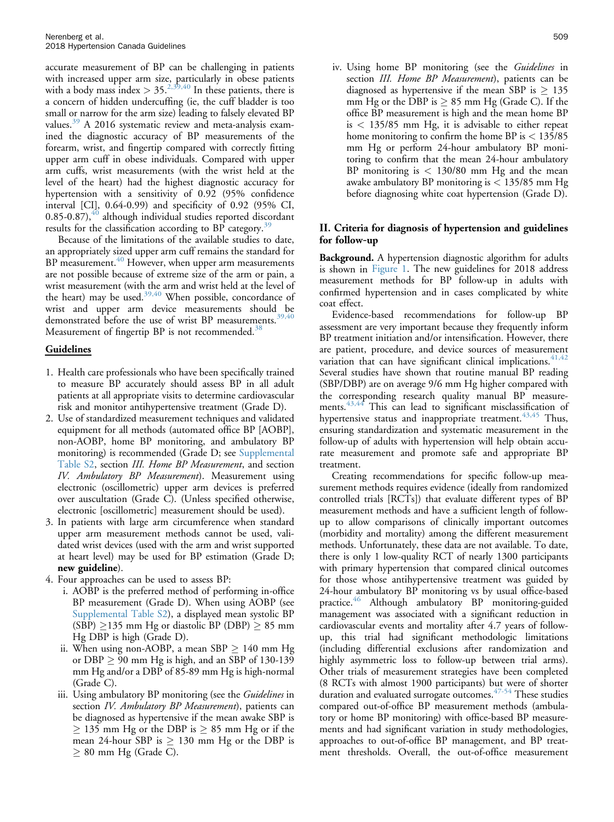accurate measurement of BP can be challenging in patients with increased upper arm size, particularly in obese patients with a body mass index  $> 35.^{2,39,40}$  $> 35.^{2,39,40}$  $> 35.^{2,39,40}$  In these patients, there is a concern of hidden undercuffing (ie, the cuff bladder is too small or narrow for the arm size) leading to falsely elevated BP values.<sup>[39](#page-18-0)</sup> A 2016 systematic review and meta-analysis examined the diagnostic accuracy of BP measurements of the forearm, wrist, and fingertip compared with correctly fitting upper arm cuff in obese individuals. Compared with upper arm cuffs, wrist measurements (with the wrist held at the level of the heart) had the highest diagnostic accuracy for hypertension with a sensitivity of 0.92 (95% confidence interval [CI], 0.64-0.99) and specificity of 0.92 (95% CI,  $0.85$ -0.87), $40$  although individual studies reported discordant results for the classification according to BP category.<sup>[39](#page-18-0)</sup>

Because of the limitations of the available studies to date, an appropriately sized upper arm cuff remains the standard for BP measurement.<sup>[40](#page-18-0)</sup> However, when upper arm measurements are not possible because of extreme size of the arm or pain, a wrist measurement (with the arm and wrist held at the level of the heart) may be used. $39,40$  When possible, concordance of wrist and upper arm device measurements should be demonstrated before the use of wrist BP measurements.<sup>[39,40](#page-18-0)</sup> Measurement of fingertip BP is not recommended.<sup>[38](#page-18-0)</sup>

# Guidelines

- 1. Health care professionals who have been specifically trained to measure BP accurately should assess BP in all adult patients at all appropriate visits to determine cardiovascular risk and monitor antihypertensive treatment (Grade D).
- 2. Use of standardized measurement techniques and validated equipment for all methods (automated office BP [AOBP], non-AOBP, home BP monitoring, and ambulatory BP monitoring) is recommended (Grade D; see [Supplemental](#page-19-0) [Table S2,](#page-19-0) section III. Home BP Measurement, and section IV. Ambulatory BP Measurement). Measurement using electronic (oscillometric) upper arm devices is preferred over auscultation (Grade C). (Unless specified otherwise, electronic [oscillometric] measurement should be used).
- 3. In patients with large arm circumference when standard upper arm measurement methods cannot be used, validated wrist devices (used with the arm and wrist supported at heart level) may be used for BP estimation (Grade D; new guideline).
- 4. Four approaches can be used to assess BP:
	- i. AOBP is the preferred method of performing in-office BP measurement (Grade D). When using AOBP (see [Supplemental Table S2\)](#page-19-0), a displayed mean systolic BP  $(SBP) \ge 135$  mm Hg or diastolic BP (DBP)  $\ge 85$  mm Hg DBP is high (Grade D).
	- ii. When using non-AOBP, a mean  $SBP \ge 140$  mm Hg or  $DBP \ge 90$  mm Hg is high, and an SBP of 130-139 mm Hg and/or a DBP of 85-89 mm Hg is high-normal (Grade C).
	- iii. Using ambulatory BP monitoring (see the Guidelines in section IV. Ambulatory BP Measurement), patients can be diagnosed as hypertensive if the mean awake SBP is  $\geq$  135 mm Hg or the DBP is  $\geq$  85 mm Hg or if the mean 24-hour SBP is  $\geq$  130 mm Hg or the DBP is  $\geq 80$  mm Hg (Grade C).

iv. Using home BP monitoring (see the Guidelines in section III. Home BP Measurement), patients can be diagnosed as hypertensive if the mean SBP is  $\geq 135$ mm Hg or the DBP is  $\geq 85$  mm Hg (Grade C). If the office BP measurement is high and the mean home BP is < 135/85 mm Hg, it is advisable to either repeat home monitoring to confirm the home BP is  $< 135/85$ mm Hg or perform 24-hour ambulatory BP monitoring to confirm that the mean 24-hour ambulatory BP monitoring is  $< 130/80$  mm Hg and the mean awake ambulatory BP monitoring is < 135/85 mm Hg before diagnosing white coat hypertension (Grade D).

# II. Criteria for diagnosis of hypertension and guidelines for follow-up

Background. A hypertension diagnostic algorithm for adults is shown in [Figure 1.](#page-4-0) The new guidelines for 2018 address measurement methods for BP follow-up in adults with confirmed hypertension and in cases complicated by white coat effect.

Evidence-based recommendations for follow-up BP assessment are very important because they frequently inform BP treatment initiation and/or intensification. However, there are patient, procedure, and device sources of measurement variation that can have significant clinical implications.  $41,42$ Several studies have shown that routine manual BP reading (SBP/DBP) are on average 9/6 mm Hg higher compared with the corresponding research quality manual BP measure-ments.<sup>[43,44](#page-18-0)</sup> This can lead to significant misclassification of hypertensive status and inappropriate treatment.<sup>[43,45](#page-18-0)</sup> Thus, ensuring standardization and systematic measurement in the follow-up of adults with hypertension will help obtain accurate measurement and promote safe and appropriate BP treatment.

Creating recommendations for specific follow-up measurement methods requires evidence (ideally from randomized controlled trials [RCTs]) that evaluate different types of BP measurement methods and have a sufficient length of followup to allow comparisons of clinically important outcomes (morbidity and mortality) among the different measurement methods. Unfortunately, these data are not available. To date, there is only 1 low-quality RCT of nearly 1300 participants with primary hypertension that compared clinical outcomes for those whose antihypertensive treatment was guided by 24-hour ambulatory BP monitoring vs by usual office-based practice.<sup>[46](#page-18-0)</sup> Although ambulatory BP monitoring-guided management was associated with a significant reduction in cardiovascular events and mortality after 4.7 years of followup, this trial had significant methodologic limitations (including differential exclusions after randomization and highly asymmetric loss to follow-up between trial arms). Other trials of measurement strategies have been completed (8 RCTs with almost 1900 participants) but were of shorter duration and evaluated surrogate outcomes.<sup>47-54</sup> These studies compared out-of-office BP measurement methods (ambulatory or home BP monitoring) with office-based BP measurements and had significant variation in study methodologies, approaches to out-of-office BP management, and BP treatment thresholds. Overall, the out-of-office measurement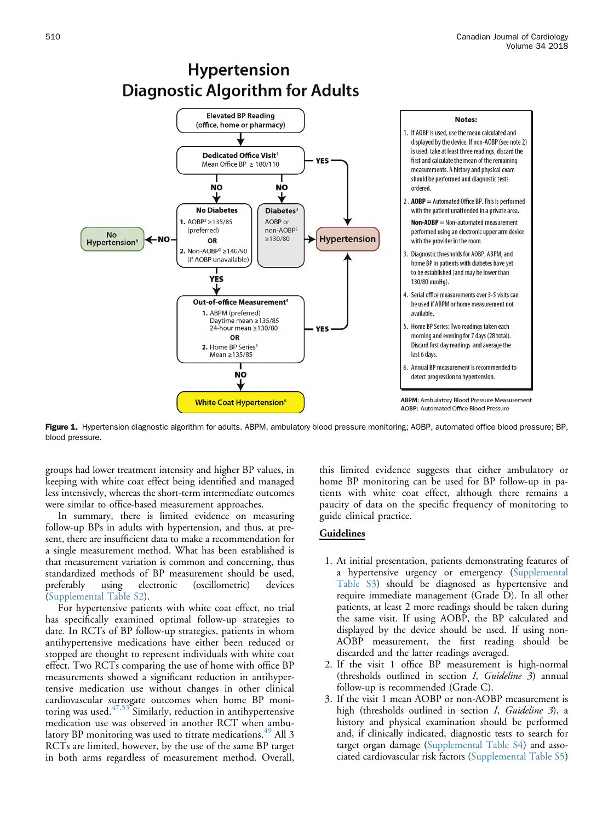<span id="page-4-0"></span>

**Hypertension** 

Figure 1. Hypertension diagnostic algorithm for adults. ABPM, ambulatory blood pressure monitoring; AOBP, automated office blood pressure; BP, blood pressure.

groups had lower treatment intensity and higher BP values, in keeping with white coat effect being identified and managed less intensively, whereas the short-term intermediate outcomes were similar to office-based measurement approaches.

In summary, there is limited evidence on measuring follow-up BPs in adults with hypertension, and thus, at present, there are insufficient data to make a recommendation for a single measurement method. What has been established is that measurement variation is common and concerning, thus standardized methods of BP measurement should be used, preferably using electronic (oscillometric) devices [\(Supplemental Table S2](#page-19-0)).

For hypertensive patients with white coat effect, no trial has specifically examined optimal follow-up strategies to date. In RCTs of BP follow-up strategies, patients in whom antihypertensive medications have either been reduced or stopped are thought to represent individuals with white coat effect. Two RCTs comparing the use of home with office BP measurements showed a significant reduction in antihypertensive medication use without changes in other clinical cardiovascular surrogate outcomes when home BP monitoring was used. $47,53$  Similarly, reduction in antihypertensive medication use was observed in another RCT when ambulatory BP monitoring was used to titrate medications. $49$  All 3 RCTs are limited, however, by the use of the same BP target in both arms regardless of measurement method. Overall, this limited evidence suggests that either ambulatory or home BP monitoring can be used for BP follow-up in patients with white coat effect, although there remains a paucity of data on the specific frequency of monitoring to guide clinical practice.

- 1. At initial presentation, patients demonstrating features of a hypertensive urgency or emergency ([Supplemental](#page-19-0) [Table S3\)](#page-19-0) should be diagnosed as hypertensive and require immediate management (Grade D). In all other patients, at least 2 more readings should be taken during the same visit. If using AOBP, the BP calculated and displayed by the device should be used. If using non-AOBP measurement, the first reading should be discarded and the latter readings averaged.
- 2. If the visit 1 office BP measurement is high-normal (thresholds outlined in section I, Guideline 3) annual follow-up is recommended (Grade C).
- 3. If the visit 1 mean AOBP or non-AOBP measurement is high (thresholds outlined in section I, Guideline 3), a history and physical examination should be performed and, if clinically indicated, diagnostic tests to search for target organ damage [\(Supplemental Table S4\)](#page-19-0) and associated cardiovascular risk factors ([Supplemental Table S5](#page-19-0))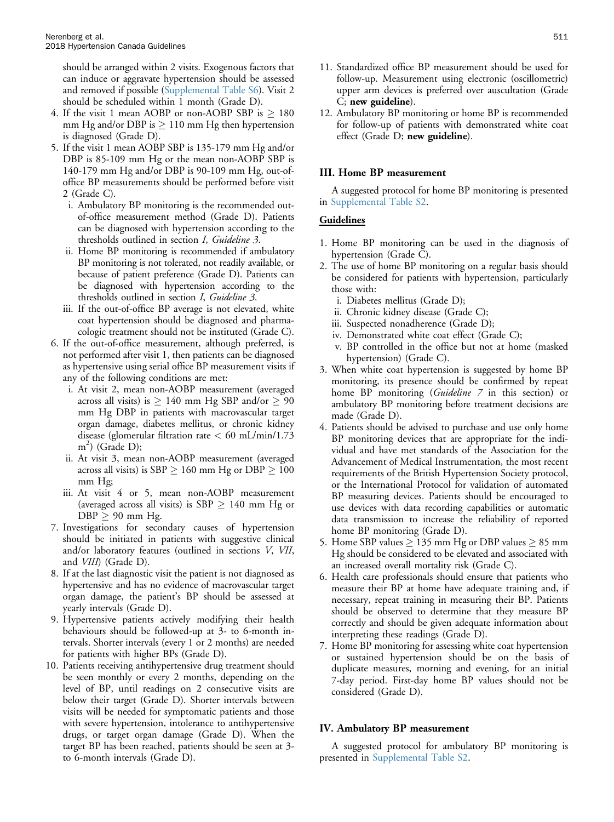should be arranged within 2 visits. Exogenous factors that can induce or aggravate hypertension should be assessed and removed if possible ([Supplemental Table S6](#page-19-0)). Visit 2 should be scheduled within 1 month (Grade D).

- 4. If the visit 1 mean AOBP or non-AOBP SBP is  $\geq 180$ mm Hg and/or DBP is  $\geq 110$  mm Hg then hypertension is diagnosed (Grade D).
- 5. If the visit 1 mean AOBP SBP is 135-179 mm Hg and/or DBP is 85-109 mm Hg or the mean non-AOBP SBP is 140-179 mm Hg and/or DBP is 90-109 mm Hg, out-ofoffice BP measurements should be performed before visit 2 (Grade C).
	- i. Ambulatory BP monitoring is the recommended outof-office measurement method (Grade D). Patients can be diagnosed with hypertension according to the thresholds outlined in section I, Guideline 3.
	- ii. Home BP monitoring is recommended if ambulatory BP monitoring is not tolerated, not readily available, or because of patient preference (Grade D). Patients can be diagnosed with hypertension according to the thresholds outlined in section I, Guideline 3.
	- iii. If the out-of-office BP average is not elevated, white coat hypertension should be diagnosed and pharmacologic treatment should not be instituted (Grade C).
- 6. If the out-of-office measurement, although preferred, is not performed after visit 1, then patients can be diagnosed as hypertensive using serial office BP measurement visits if any of the following conditions are met:
	- i. At visit 2, mean non-AOBP measurement (averaged across all visits) is  $\geq 140$  mm Hg SBP and/or  $\geq 90$ mm Hg DBP in patients with macrovascular target organ damage, diabetes mellitus, or chronic kidney disease (glomerular filtration rate  $<$  60 mL/min/1.73 m2 ) (Grade D);
	- ii. At visit 3, mean non-AOBP measurement (averaged across all visits) is SBP  $\geq 160$  mm Hg or DBP  $\geq 100$ mm Hg;
	- iii. At visit 4 or 5, mean non-AOBP measurement (averaged across all visits) is  $SBP \ge 140$  mm Hg or  $DBP \geq 90$  mm Hg.
- 7. Investigations for secondary causes of hypertension should be initiated in patients with suggestive clinical and/or laboratory features (outlined in sections V, VII, and VIII) (Grade D).
- 8. If at the last diagnostic visit the patient is not diagnosed as hypertensive and has no evidence of macrovascular target organ damage, the patient's BP should be assessed at yearly intervals (Grade D).
- 9. Hypertensive patients actively modifying their health behaviours should be followed-up at 3- to 6-month intervals. Shorter intervals (every 1 or 2 months) are needed for patients with higher BPs (Grade D).
- 10. Patients receiving antihypertensive drug treatment should be seen monthly or every 2 months, depending on the level of BP, until readings on 2 consecutive visits are below their target (Grade D). Shorter intervals between visits will be needed for symptomatic patients and those with severe hypertension, intolerance to antihypertensive drugs, or target organ damage (Grade D). When the target BP has been reached, patients should be seen at 3 to 6-month intervals (Grade D).
- 11. Standardized office BP measurement should be used for follow-up. Measurement using electronic (oscillometric) upper arm devices is preferred over auscultation (Grade C; new guideline).
- 12. Ambulatory BP monitoring or home BP is recommended for follow-up of patients with demonstrated white coat effect (Grade D; new guideline).

# III. Home BP measurement

A suggested protocol for home BP monitoring is presented in [Supplemental Table S2](#page-19-0).

## Guidelines

- 1. Home BP monitoring can be used in the diagnosis of hypertension (Grade C).
- 2. The use of home BP monitoring on a regular basis should be considered for patients with hypertension, particularly those with:
	- i. Diabetes mellitus (Grade D);
	- ii. Chronic kidney disease (Grade C);
	- iii. Suspected nonadherence (Grade D);
	- iv. Demonstrated white coat effect (Grade C);
	- v. BP controlled in the office but not at home (masked hypertension) (Grade C).
- 3. When white coat hypertension is suggested by home BP monitoring, its presence should be confirmed by repeat home BP monitoring (Guideline 7 in this section) or ambulatory BP monitoring before treatment decisions are made (Grade D).
- 4. Patients should be advised to purchase and use only home BP monitoring devices that are appropriate for the individual and have met standards of the Association for the Advancement of Medical Instrumentation, the most recent requirements of the British Hypertension Society protocol, or the International Protocol for validation of automated BP measuring devices. Patients should be encouraged to use devices with data recording capabilities or automatic data transmission to increase the reliability of reported home BP monitoring (Grade D).
- 5. Home SBP values  $\geq 135$  mm Hg or DBP values  $\geq 85$  mm Hg should be considered to be elevated and associated with an increased overall mortality risk (Grade C).
- 6. Health care professionals should ensure that patients who measure their BP at home have adequate training and, if necessary, repeat training in measuring their BP. Patients should be observed to determine that they measure BP correctly and should be given adequate information about interpreting these readings (Grade D).
- 7. Home BP monitoring for assessing white coat hypertension or sustained hypertension should be on the basis of duplicate measures, morning and evening, for an initial 7-day period. First-day home BP values should not be considered (Grade D).

## IV. Ambulatory BP measurement

A suggested protocol for ambulatory BP monitoring is presented in [Supplemental Table S2.](#page-19-0)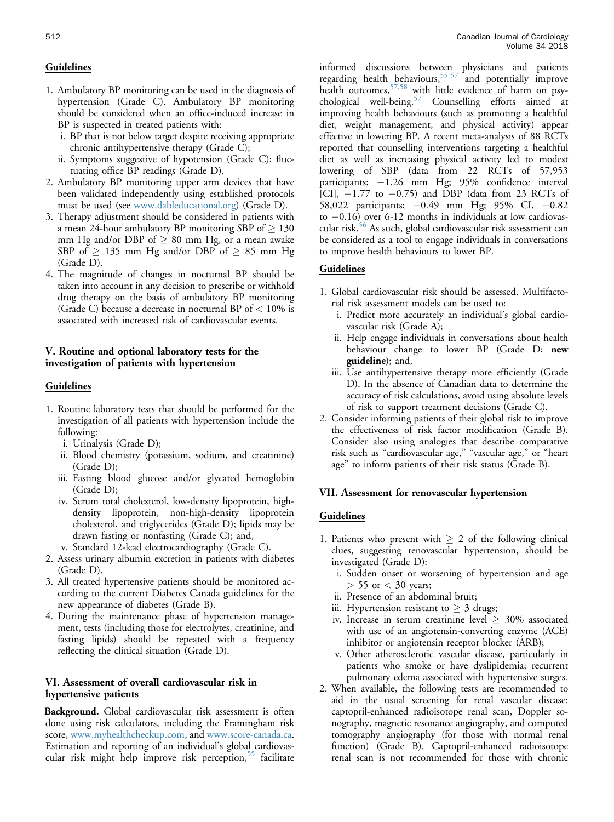## **Guidelines**

- 1. Ambulatory BP monitoring can be used in the diagnosis of hypertension (Grade C). Ambulatory BP monitoring should be considered when an office-induced increase in BP is suspected in treated patients with:
	- i. BP that is not below target despite receiving appropriate chronic antihypertensive therapy (Grade C);
	- ii. Symptoms suggestive of hypotension (Grade C); fluctuating office BP readings (Grade D).
- 2. Ambulatory BP monitoring upper arm devices that have been validated independently using established protocols must be used (see [www.dableducational.org\)](http://www.dableducational.org) (Grade D).
- 3. Therapy adjustment should be considered in patients with a mean 24-hour ambulatory BP monitoring SBP of  $\geq 130$ mm Hg and/or DBP of  $\geq 80$  mm Hg, or a mean awake SBP of  $\geq$  135 mm Hg and/or DBP of  $\geq$  85 mm Hg (Grade D).
- 4. The magnitude of changes in nocturnal BP should be taken into account in any decision to prescribe or withhold drug therapy on the basis of ambulatory BP monitoring (Grade C) because a decrease in nocturnal BP of  $< 10\%$  is associated with increased risk of cardiovascular events.

# V. Routine and optional laboratory tests for the investigation of patients with hypertension

#### Guidelines

- 1. Routine laboratory tests that should be performed for the investigation of all patients with hypertension include the following:
	- i. Urinalysis (Grade D);
	- ii. Blood chemistry (potassium, sodium, and creatinine) (Grade D);
	- iii. Fasting blood glucose and/or glycated hemoglobin (Grade D);
	- iv. Serum total cholesterol, low-density lipoprotein, highdensity lipoprotein, non-high-density lipoprotein cholesterol, and triglycerides (Grade D); lipids may be drawn fasting or nonfasting (Grade C); and,
	- v. Standard 12-lead electrocardiography (Grade C).
- 2. Assess urinary albumin excretion in patients with diabetes (Grade D).
- 3. All treated hypertensive patients should be monitored according to the current Diabetes Canada guidelines for the new appearance of diabetes (Grade B).
- 4. During the maintenance phase of hypertension management, tests (including those for electrolytes, creatinine, and fasting lipids) should be repeated with a frequency reflecting the clinical situation (Grade D).

# VI. Assessment of overall cardiovascular risk in hypertensive patients

Background. Global cardiovascular risk assessment is often done using risk calculators, including the Framingham risk score, [www.myhealthcheckup.com,](http://www.myhealthcheckup.com) and [www.score-canada.ca.](http://www.score-canada.ca) Estimation and reporting of an individual's global cardiovascular risk might help improve risk perception, $55$  facilitate

informed discussions between physicians and patients regarding health behaviours,<sup>[55-57](#page-19-0)</sup> and potentially improve health outcomes,[57,58](#page-19-0) with little evidence of harm on psychological well-being.[57](#page-19-0) Counselling efforts aimed at improving health behaviours (such as promoting a healthful diet, weight management, and physical activity) appear effective in lowering BP. A recent meta-analysis of 88 RCTs reported that counselling interventions targeting a healthful diet as well as increasing physical activity led to modest lowering of SBP (data from 22 RCTs of 57,953 participants;  $-1.26$  mm Hg; 95% confidence interval [CI],  $-1.77$  to  $-0.75$ ) and DBP (data from 23 RCTs of 58,022 participants;  $-0.49$  mm Hg; 95% CI,  $-0.82$ to  $-0.16$ ) over 6-12 months in individuals at low cardiovascular risk.[56](#page-19-0) As such, global cardiovascular risk assessment can be considered as a tool to engage individuals in conversations to improve health behaviours to lower BP.

# Guidelines

- 1. Global cardiovascular risk should be assessed. Multifactorial risk assessment models can be used to:
	- i. Predict more accurately an individual's global cardiovascular risk (Grade A);
	- ii. Help engage individuals in conversations about health behaviour change to lower BP (Grade D; new guideline); and,
	- iii. Use antihypertensive therapy more efficiently (Grade D). In the absence of Canadian data to determine the accuracy of risk calculations, avoid using absolute levels of risk to support treatment decisions (Grade C).
- 2. Consider informing patients of their global risk to improve the effectiveness of risk factor modification (Grade B). Consider also using analogies that describe comparative risk such as "cardiovascular age," "vascular age," or "heart age" to inform patients of their risk status (Grade B).

#### VII. Assessment for renovascular hypertension

- 1. Patients who present with  $\geq 2$  of the following clinical clues, suggesting renovascular hypertension, should be investigated (Grade D):
	- i. Sudden onset or worsening of hypertension and age  $> 55$  or  $< 30$  years;
	- ii. Presence of an abdominal bruit;
	- iii. Hypertension resistant to  $\geq 3$  drugs;
	- iv. Increase in serum creatinine level  $\geq 30\%$  associated with use of an angiotensin-converting enzyme (ACE) inhibitor or angiotensin receptor blocker (ARB);
	- v. Other atherosclerotic vascular disease, particularly in patients who smoke or have dyslipidemia; recurrent pulmonary edema associated with hypertensive surges.
- 2. When available, the following tests are recommended to aid in the usual screening for renal vascular disease: captopril-enhanced radioisotope renal scan, Doppler sonography, magnetic resonance angiography, and computed tomography angiography (for those with normal renal function) (Grade B). Captopril-enhanced radioisotope renal scan is not recommended for those with chronic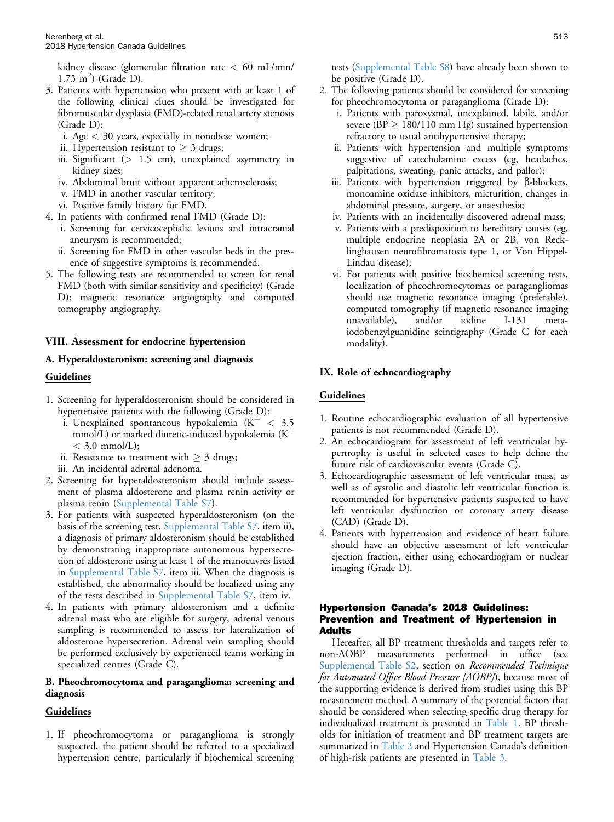kidney disease (glomerular filtration rate  $<$  60 mL/min/  $1.73 \text{ m}^2$ ) (Grade D).

- 3. Patients with hypertension who present with at least 1 of the following clinical clues should be investigated for fibromuscular dysplasia (FMD)-related renal artery stenosis (Grade D):
	- i. Age < 30 years, especially in nonobese women;
	- ii. Hypertension resistant to  $\geq 3$  drugs;
	- iii. Significant  $(> 1.5 \text{ cm})$ , unexplained asymmetry in kidney sizes;
	- iv. Abdominal bruit without apparent atherosclerosis;
	- v. FMD in another vascular territory;
	- vi. Positive family history for FMD.
- 4. In patients with confirmed renal FMD (Grade D):
	- i. Screening for cervicocephalic lesions and intracranial aneurysm is recommended;
	- ii. Screening for FMD in other vascular beds in the presence of suggestive symptoms is recommended.
- 5. The following tests are recommended to screen for renal FMD (both with similar sensitivity and specificity) (Grade D): magnetic resonance angiography and computed tomography angiography.

#### VIII. Assessment for endocrine hypertension

#### A. Hyperaldosteronism: screening and diagnosis

#### Guidelines

- 1. Screening for hyperaldosteronism should be considered in hypertensive patients with the following (Grade D):
	- i. Unexplained spontaneous hypokalemia  $(K^+ < 3.5)$ mmol/L) or marked diuretic-induced hypokalemia  $(K^+)$  $<$  3.0 mmol/L);
	- ii. Resistance to treatment with  $\geq 3$  drugs;
	- iii. An incidental adrenal adenoma.
- 2. Screening for hyperaldosteronism should include assessment of plasma aldosterone and plasma renin activity or plasma renin ([Supplemental Table S7\)](#page-19-0).
- 3. For patients with suspected hyperaldosteronism (on the basis of the screening test, [Supplemental Table S7](#page-19-0), item ii), a diagnosis of primary aldosteronism should be established by demonstrating inappropriate autonomous hypersecretion of aldosterone using at least 1 of the manoeuvres listed in [Supplemental Table S7,](#page-19-0) item iii. When the diagnosis is established, the abnormality should be localized using any of the tests described in [Supplemental Table S7,](#page-19-0) item iv.
- 4. In patients with primary aldosteronism and a definite adrenal mass who are eligible for surgery, adrenal venous sampling is recommended to assess for lateralization of aldosterone hypersecretion. Adrenal vein sampling should be performed exclusively by experienced teams working in specialized centres (Grade C).

#### B. Pheochromocytoma and paraganglioma: screening and diagnosis

#### Guidelines

1. If pheochromocytoma or paraganglioma is strongly suspected, the patient should be referred to a specialized hypertension centre, particularly if biochemical screening tests [\(Supplemental Table S8\)](#page-19-0) have already been shown to be positive (Grade D).

- 2. The following patients should be considered for screening for pheochromocytoma or paraganglioma (Grade D):
	- i. Patients with paroxysmal, unexplained, labile, and/or severe (BP  $\geq 180/110$  mm Hg) sustained hypertension refractory to usual antihypertensive therapy;
	- ii. Patients with hypertension and multiple symptoms suggestive of catecholamine excess (eg, headaches, palpitations, sweating, panic attacks, and pallor);
	- iii. Patients with hypertension triggered by  $\beta$ -blockers, monoamine oxidase inhibitors, micturition, changes in abdominal pressure, surgery, or anaesthesia;
	- iv. Patients with an incidentally discovered adrenal mass;
	- v. Patients with a predisposition to hereditary causes (eg, multiple endocrine neoplasia 2A or 2B, von Recklinghausen neurofibromatosis type 1, or Von Hippel-Lindau disease);
	- vi. For patients with positive biochemical screening tests, localization of pheochromocytomas or paragangliomas should use magnetic resonance imaging (preferable), computed tomography (if magnetic resonance imaging unavailable), and/or iodine I-131 metaiodobenzylguanidine scintigraphy (Grade C for each modality).

#### IX. Role of echocardiography

#### Guidelines

- 1. Routine echocardiographic evaluation of all hypertensive patients is not recommended (Grade D).
- 2. An echocardiogram for assessment of left ventricular hypertrophy is useful in selected cases to help define the future risk of cardiovascular events (Grade C).
- 3. Echocardiographic assessment of left ventricular mass, as well as of systolic and diastolic left ventricular function is recommended for hypertensive patients suspected to have left ventricular dysfunction or coronary artery disease (CAD) (Grade D).
- 4. Patients with hypertension and evidence of heart failure should have an objective assessment of left ventricular ejection fraction, either using echocardiogram or nuclear imaging (Grade D).

## Hypertension Canada's 2018 Guidelines: Prevention and Treatment of Hypertension in Adults

Hereafter, all BP treatment thresholds and targets refer to non-AOBP measurements performed in office (see [Supplemental Table S2](#page-19-0), section on Recommended Technique for Automated Office Blood Pressure [AOBP]), because most of the supporting evidence is derived from studies using this BP measurement method. A summary of the potential factors that should be considered when selecting specific drug therapy for individualized treatment is presented in [Table 1.](#page-8-0) BP thresholds for initiation of treatment and BP treatment targets are summarized in [Table 2](#page-9-0) and Hypertension Canada's definition of high-risk patients are presented in [Table 3.](#page-9-0)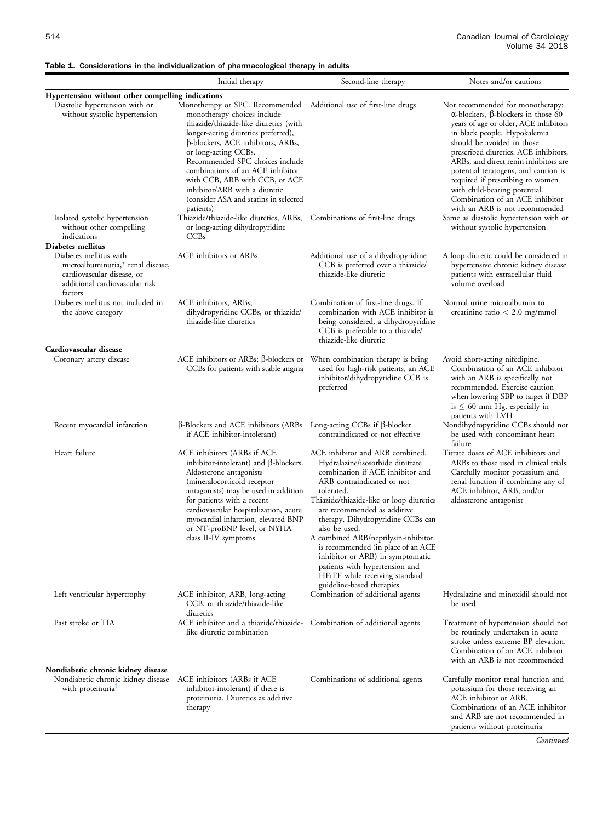# <span id="page-8-0"></span>Table 1. Considerations in the individualization of pharmacological therapy in adults

|                                                                                                                                                  | Initial therapy                                                                                                                                                                                                                                                                                                                                                                                                                                        | Second-line therapy                                                                                                                                                                                                                                                                                                                                                                                                                                                                                    | Notes and/or cautions                                                                                                                                                                                                                                                                                                                                                                                                                                            |  |  |  |
|--------------------------------------------------------------------------------------------------------------------------------------------------|--------------------------------------------------------------------------------------------------------------------------------------------------------------------------------------------------------------------------------------------------------------------------------------------------------------------------------------------------------------------------------------------------------------------------------------------------------|--------------------------------------------------------------------------------------------------------------------------------------------------------------------------------------------------------------------------------------------------------------------------------------------------------------------------------------------------------------------------------------------------------------------------------------------------------------------------------------------------------|------------------------------------------------------------------------------------------------------------------------------------------------------------------------------------------------------------------------------------------------------------------------------------------------------------------------------------------------------------------------------------------------------------------------------------------------------------------|--|--|--|
| Hypertension without other compelling indications                                                                                                |                                                                                                                                                                                                                                                                                                                                                                                                                                                        |                                                                                                                                                                                                                                                                                                                                                                                                                                                                                                        |                                                                                                                                                                                                                                                                                                                                                                                                                                                                  |  |  |  |
| Diastolic hypertension with or<br>without systolic hypertension                                                                                  | Monotherapy or SPC. Recommended Additional use of first-line drugs<br>monotherapy choices include<br>thiazide/thiazide-like diuretics (with<br>longer-acting diuretics preferred),<br>$\beta$ -blockers, ACE inhibitors, ARBs,<br>or long-acting CCBs.<br>Recommended SPC choices include<br>combinations of an ACE inhibitor<br>with CCB, ARB with CCB, or ACE<br>inhibitor/ARB with a diuretic<br>(consider ASA and statins in selected<br>patients) |                                                                                                                                                                                                                                                                                                                                                                                                                                                                                                        | Not recommended for monotherapy:<br>$\alpha$ -blockers, $\beta$ -blockers in those 60<br>years of age or older, ACE inhibitors<br>in black people. Hypokalemia<br>should be avoided in those<br>prescribed diuretics. ACE inhibitors,<br>ARBs, and direct renin inhibitors are<br>potential teratogens, and caution is<br>required if prescribing to women<br>with child-bearing potential.<br>Combination of an ACE inhibitor<br>with an ARB is not recommended |  |  |  |
| Isolated systolic hypertension<br>without other compelling<br>indications                                                                        | Thiazide/thiazide-like diuretics, ARBs,<br>or long-acting dihydropyridine<br>CCBs                                                                                                                                                                                                                                                                                                                                                                      | Combinations of first-line drugs                                                                                                                                                                                                                                                                                                                                                                                                                                                                       | Same as diastolic hypertension with or<br>without systolic hypertension                                                                                                                                                                                                                                                                                                                                                                                          |  |  |  |
| Diabetes mellitus<br>Diabetes mellitus with<br>microalbuminuria,* renal disease,<br>cardiovascular disease, or<br>additional cardiovascular risk | ACE inhibitors or ARBs                                                                                                                                                                                                                                                                                                                                                                                                                                 | Additional use of a dihydropyridine<br>CCB is preferred over a thiazide/<br>thiazide-like diuretic                                                                                                                                                                                                                                                                                                                                                                                                     | A loop diuretic could be considered in<br>hypertensive chronic kidney disease<br>patients with extracellular fluid<br>volume overload                                                                                                                                                                                                                                                                                                                            |  |  |  |
| factors<br>Diabetes mellitus not included in<br>the above category                                                                               | ACE inhibitors, ARBs,<br>dihydropyridine CCBs, or thiazide/<br>thiazide-like diuretics                                                                                                                                                                                                                                                                                                                                                                 | Combination of first-line drugs. If<br>combination with ACE inhibitor is<br>being considered, a dihydropyridine<br>CCB is preferable to a thiazide/<br>thiazide-like diuretic                                                                                                                                                                                                                                                                                                                          | Normal urine microalbumin to<br>creatinine ratio $< 2.0$ mg/mmol                                                                                                                                                                                                                                                                                                                                                                                                 |  |  |  |
| Cardiovascular disease<br>Coronary artery disease                                                                                                | ACE inhibitors or ARBs; β-blockers or When combination therapy is being<br>CCBs for patients with stable angina                                                                                                                                                                                                                                                                                                                                        | used for high-risk patients, an ACE<br>inhibitor/dihydropyridine CCB is<br>preferred                                                                                                                                                                                                                                                                                                                                                                                                                   | Avoid short-acting nifedipine.<br>Combination of an ACE inhibitor<br>with an ARB is specifically not<br>recommended. Exercise caution<br>when lowering SBP to target if DBP<br>is $\leq 60$ mm Hg, especially in<br>patients with LVH                                                                                                                                                                                                                            |  |  |  |
| Recent myocardial infarction                                                                                                                     | $\beta$ -Blockers and ACE inhibitors (ARBs Long-acting CCBs if $\beta$ -blocker<br>if ACE inhibitor-intolerant)                                                                                                                                                                                                                                                                                                                                        | contraindicated or not effective                                                                                                                                                                                                                                                                                                                                                                                                                                                                       | Nondihydropyridine CCBs should not<br>be used with concomitant heart<br>failure                                                                                                                                                                                                                                                                                                                                                                                  |  |  |  |
| Heart failure                                                                                                                                    | ACE inhibitors (ARBs if ACE<br>inhibitor-intolerant) and $\beta$ -blockers.<br>Aldosterone antagonists<br>(mineralocorticoid receptor<br>antagonists) may be used in addition<br>for patients with a recent<br>cardiovascular hospitalization, acute<br>myocardial infarction, elevated BNP<br>or NT-proBNP level, or NYHA<br>class II-IV symptoms                                                                                                     | ACE inhibitor and ARB combined.<br>Hydralazine/isosorbide dinitrate<br>combination if ACE inhibitor and<br>ARB contraindicated or not<br>tolerated.<br>Thiazide/thiazide-like or loop diuretics<br>are recommended as additive<br>therapy. Dihydropyridine CCBs can<br>also be used.<br>A combined ARB/neprilysin-inhibitor<br>is recommended (in place of an ACE<br>inhibitor or ARB) in symptomatic<br>patients with hypertension and<br>HFrEF while receiving standard<br>guideline-based therapies | Titrate doses of ACE inhibitors and<br>ARBs to those used in clinical trials.<br>Carefully monitor potassium and<br>renal function if combining any of<br>ACE inhibitor, ARB, and/or<br>aldosterone antagonist                                                                                                                                                                                                                                                   |  |  |  |
| Left ventricular hypertrophy                                                                                                                     | ACE inhibitor, ARB, long-acting<br>CCB, or thiazide/thiazide-like<br>diuretics                                                                                                                                                                                                                                                                                                                                                                         | Combination of additional agents                                                                                                                                                                                                                                                                                                                                                                                                                                                                       | Hydralazine and minoxidil should not<br>be used                                                                                                                                                                                                                                                                                                                                                                                                                  |  |  |  |
| Past stroke or TIA<br>Nondiabetic chronic kidney disease                                                                                         | ACE inhibitor and a thiazide/thiazide- Combination of additional agents<br>like diuretic combination                                                                                                                                                                                                                                                                                                                                                   |                                                                                                                                                                                                                                                                                                                                                                                                                                                                                                        | Treatment of hypertension should not<br>be routinely undertaken in acute<br>stroke unless extreme BP elevation.<br>Combination of an ACE inhibitor<br>with an ARB is not recommended                                                                                                                                                                                                                                                                             |  |  |  |
| Nondiabetic chronic kidney disease<br>with proteinuria                                                                                           | ACE inhibitors (ARBs if ACE<br>inhibitor-intolerant) if there is<br>proteinuria. Diuretics as additive<br>therapy                                                                                                                                                                                                                                                                                                                                      | Combinations of additional agents                                                                                                                                                                                                                                                                                                                                                                                                                                                                      | Carefully monitor renal function and<br>potassium for those receiving an<br>ACE inhibitor or ARB.<br>Combinations of an ACE inhibitor<br>and ARB are not recommended in<br>patients without proteinuria                                                                                                                                                                                                                                                          |  |  |  |

**Continued**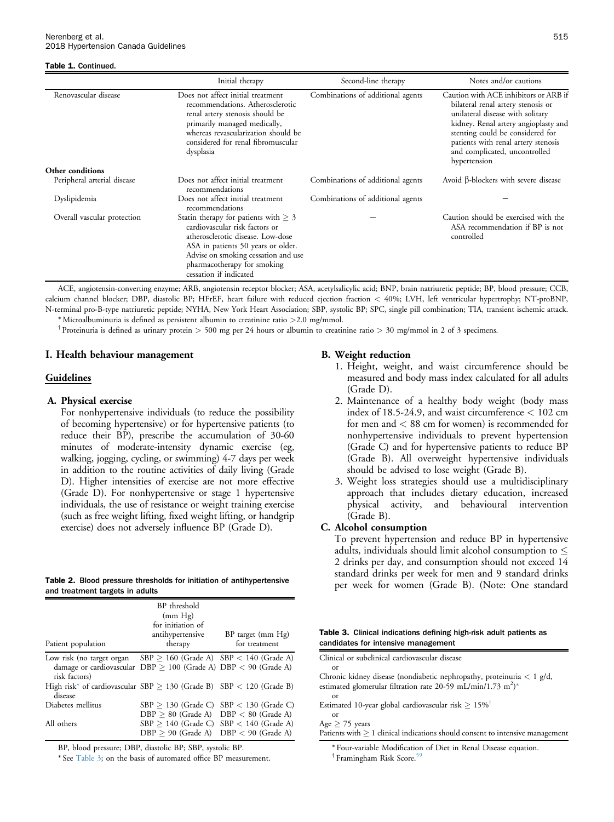#### <span id="page-9-0"></span>Table 1. Continued.

|                             | Initial therapy                                                                                                                                                                                                                                        | Second-line therapy               | Notes and/or cautions                                                                                                                                                                                                                                                               |
|-----------------------------|--------------------------------------------------------------------------------------------------------------------------------------------------------------------------------------------------------------------------------------------------------|-----------------------------------|-------------------------------------------------------------------------------------------------------------------------------------------------------------------------------------------------------------------------------------------------------------------------------------|
| Renovascular disease        | Does not affect initial treatment<br>recommendations. Atherosclerotic<br>renal artery stenosis should be<br>primarily managed medically,<br>whereas revascularization should be<br>considered for renal fibromuscular<br>dysplasia                     | Combinations of additional agents | Caution with ACE inhibitors or ARB if<br>bilateral renal artery stenosis or<br>unilateral disease with solitary<br>kidney. Renal artery angioplasty and<br>stenting could be considered for<br>patients with renal artery stenosis<br>and complicated, uncontrolled<br>hypertension |
| Other conditions            |                                                                                                                                                                                                                                                        |                                   |                                                                                                                                                                                                                                                                                     |
| Peripheral arterial disease | Does not affect initial treatment<br>recommendations                                                                                                                                                                                                   | Combinations of additional agents | Avoid $β$ -blockers with severe disease                                                                                                                                                                                                                                             |
| Dyslipidemia                | Does not affect initial treatment<br>recommendations                                                                                                                                                                                                   | Combinations of additional agents |                                                                                                                                                                                                                                                                                     |
| Overall vascular protection | Statin therapy for patients with $\geq 3$<br>cardiovascular risk factors or<br>atherosclerotic disease. Low-dose<br>ASA in patients 50 years or older.<br>Advise on smoking cessation and use<br>pharmacotherapy for smoking<br>cessation if indicated |                                   | Caution should be exercised with the<br>ASA recommendation if BP is not<br>controlled                                                                                                                                                                                               |

ACE, angiotensin-converting enzyme; ARB, angiotensin receptor blocker; ASA, acetylsalicylic acid; BNP, brain natriuretic peptide; BP, blood pressure; CCB, calcium channel blocker; DBP, diastolic BP; HFrEF, heart failure with reduced ejection fraction < 40%; LVH, left ventricular hypertrophy; NT-proBNP, N-terminal pro-B-type natriuretic peptide; NYHA, New York Heart Association; SBP, systolic BP; SPC, single pill combination; TIA, transient ischemic attack.

\* Microalbuminuria is defined as persistent albumin to creatinine ratio >2.0 mg/mmol.

<sup>†</sup> Proteinuria is defined as urinary protein > 500 mg per 24 hours or albumin to creatinine ratio > 30 mg/mmol in 2 of 3 specimens.

#### I. Health behaviour management

#### Guidelines

#### A. Physical exercise

For nonhypertensive individuals (to reduce the possibility of becoming hypertensive) or for hypertensive patients (to reduce their BP), prescribe the accumulation of 30-60 minutes of moderate-intensity dynamic exercise (eg, walking, jogging, cycling, or swimming) 4-7 days per week in addition to the routine activities of daily living (Grade D). Higher intensities of exercise are not more effective (Grade D). For nonhypertensive or stage 1 hypertensive individuals, the use of resistance or weight training exercise (such as free weight lifting, fixed weight lifting, or handgrip exercise) does not adversely influence BP (Grade D).

|  |                                 |  |  | Table 2. Blood pressure thresholds for initiation of antihypertensive |
|--|---------------------------------|--|--|-----------------------------------------------------------------------|
|  | and treatment targets in adults |  |  |                                                                       |

| Patient population                                                                                                | BP threshold<br>(mm Hg)<br>for initiation of<br>antihypertensive<br>therapy | BP target (mm Hg)<br>for treatment |
|-------------------------------------------------------------------------------------------------------------------|-----------------------------------------------------------------------------|------------------------------------|
| Low risk (no target organ<br>damage or cardiovascular $DBP > 100$ (Grade A) $DBP < 90$ (Grade A)<br>risk factors) | $SBP > 160$ (Grade A) $SBP < 140$ (Grade A)                                 |                                    |
| High risk* of cardiovascular $SBP > 130$ (Grade B) $SBP < 120$ (Grade B)<br>disease                               |                                                                             |                                    |
| Diabetes mellitus                                                                                                 | $SBP > 130$ (Grade C)<br>$DBP > 80$ (Grade A) $DBP < 80$ (Grade A)          | $SBP < 130$ (Grade C)              |
| All others                                                                                                        | $SBP > 140$ (Grade C) $SBP < 140$ (Grade A)<br>$DBP > 90$ (Grade A)         | $DBP < 90$ (Grade A)               |

BP, blood pressure; DBP, diastolic BP; SBP, systolic BP.

\* See Table 3; on the basis of automated office BP measurement.

#### B. Weight reduction

- 1. Height, weight, and waist circumference should be measured and body mass index calculated for all adults (Grade D).
- 2. Maintenance of a healthy body weight (body mass index of 18.5-24.9, and waist circumference < 102 cm for men and < 88 cm for women) is recommended for nonhypertensive individuals to prevent hypertension (Grade C) and for hypertensive patients to reduce BP (Grade B). All overweight hypertensive individuals should be advised to lose weight (Grade B).
- 3. Weight loss strategies should use a multidisciplinary approach that includes dietary education, increased physical activity, and behavioural intervention (Grade B).

#### C. Alcohol consumption

To prevent hypertension and reduce BP in hypertensive adults, individuals should limit alcohol consumption to  $\leq$ 2 drinks per day, and consumption should not exceed 14 standard drinks per week for men and 9 standard drinks per week for women (Grade B). (Note: One standard

|  | Table 3. Clinical indications defining high-risk adult patients as |  |  |  |
|--|--------------------------------------------------------------------|--|--|--|
|  | candidates for intensive management                                |  |  |  |

| Clinical or subclinical cardiovascular disease                                                                                                      |
|-----------------------------------------------------------------------------------------------------------------------------------------------------|
| <sub>or</sub>                                                                                                                                       |
| Chronic kidney disease (nondiabetic nephropathy, proteinuria $< 1$ g/d,<br>estimated glomerular filtration rate 20-59 mL/min/1.73 m <sup>2</sup> )* |
| or                                                                                                                                                  |
| Estimated 10-year global cardiovascular risk $> 15\%$ <sup>†</sup>                                                                                  |
| $\alpha$ r                                                                                                                                          |
| Age $\geq$ 75 years                                                                                                                                 |
| Patients with $\geq 1$ clinical indications should consent to intensive management                                                                  |
| *Four-variable Modification of Diet in Renal Disease equation.                                                                                      |
| <sup>†</sup> Framingham Risk Score. <sup>59</sup>                                                                                                   |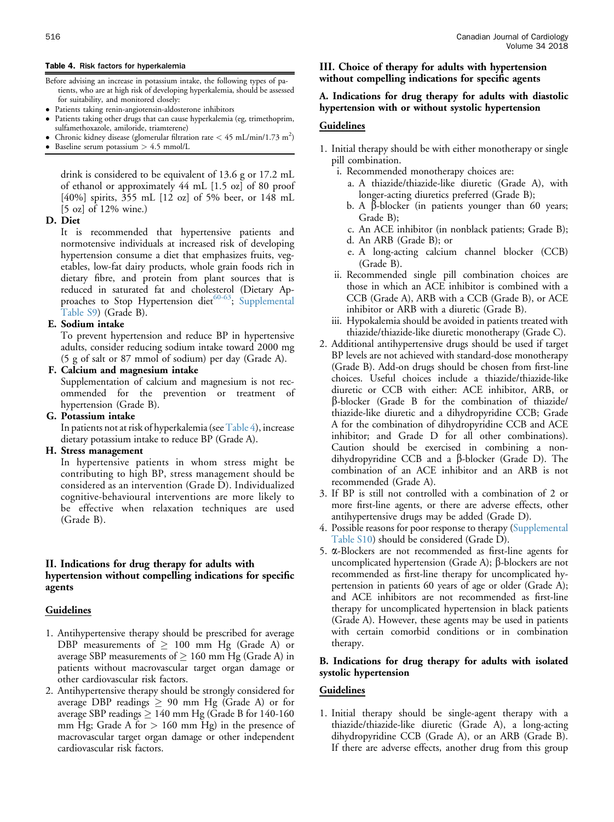#### Table 4. Risk factors for hyperkalemia

- Before advising an increase in potassium intake, the following types of patients, who are at high risk of developing hyperkalemia, should be assessed for suitability, and monitored closely:
- Patients taking renin-angiotensin-aldosterone inhibitors
- Patients taking other drugs that can cause hyperkalemia (eg, trimethoprim, sulfamethoxazole, amiloride, triamterene)
- Chronic kidney disease (glomerular filtration rate  $<$  45 mL/min/1.73 m<sup>2</sup>)
- Baseline serum potassium > 4.5 mmol/L

drink is considered to be equivalent of 13.6 g or 17.2 mL of ethanol or approximately 44 mL [1.5 oz] of 80 proof [40%] spirits, 355 mL [12 oz] of 5% beer, or 148 mL [5 oz] of 12% wine.)

## D. Diet

It is recommended that hypertensive patients and normotensive individuals at increased risk of developing hypertension consume a diet that emphasizes fruits, vegetables, low-fat dairy products, whole grain foods rich in dietary fibre, and protein from plant sources that is reduced in saturated fat and cholesterol (Dietary Ap-proaches to Stop Hypertension diet<sup>[60-63](#page-19-0)</sup>; [Supplemental](#page-19-0) [Table S9\)](#page-19-0) (Grade B).

#### E. Sodium intake

To prevent hypertension and reduce BP in hypertensive adults, consider reducing sodium intake toward 2000 mg (5 g of salt or 87 mmol of sodium) per day (Grade A).

## F. Calcium and magnesium intake

Supplementation of calcium and magnesium is not recommended for the prevention or treatment of hypertension (Grade B).

#### G. Potassium intake

In patients not at risk of hyperkalemia (seeTable 4), increase dietary potassium intake to reduce BP (Grade A).

#### H. Stress management

In hypertensive patients in whom stress might be contributing to high BP, stress management should be considered as an intervention (Grade D). Individualized cognitive-behavioural interventions are more likely to be effective when relaxation techniques are used (Grade B).

## II. Indications for drug therapy for adults with hypertension without compelling indications for specific agents

#### **Guidelines**

- 1. Antihypertensive therapy should be prescribed for average DBP measurements of  $\geq 100$  mm Hg (Grade A) or average SBP measurements of  $\geq 160$  mm Hg (Grade A) in patients without macrovascular target organ damage or other cardiovascular risk factors.
- 2. Antihypertensive therapy should be strongly considered for average DBP readings  $\geq 90$  mm Hg (Grade A) or for average SBP readings  $\geq 140$  mm Hg (Grade B for 140-160 mm Hg; Grade A for  $> 160$  mm Hg) in the presence of macrovascular target organ damage or other independent cardiovascular risk factors.

#### <span id="page-10-0"></span>516 Canadian Journal of Cardiology Volume 34 2018

## III. Choice of therapy for adults with hypertension without compelling indications for specific agents

## A. Indications for drug therapy for adults with diastolic hypertension with or without systolic hypertension

#### Guidelines

- 1. Initial therapy should be with either monotherapy or single pill combination.
	- i. Recommended monotherapy choices are:
		- a. A thiazide/thiazide-like diuretic (Grade A), with longer-acting diuretics preferred (Grade B);
		- b. A  $\beta$ -blocker (in patients younger than 60 years; Grade B);
		- c. An ACE inhibitor (in nonblack patients; Grade B);
		- d. An ARB (Grade B); or
		- e. A long-acting calcium channel blocker (CCB) (Grade B).
	- ii. Recommended single pill combination choices are those in which an ACE inhibitor is combined with a CCB (Grade A), ARB with a CCB (Grade B), or ACE inhibitor or ARB with a diuretic (Grade B).
	- iii. Hypokalemia should be avoided in patients treated with thiazide/thiazide-like diuretic monotherapy (Grade C).
- 2. Additional antihypertensive drugs should be used if target BP levels are not achieved with standard-dose monotherapy (Grade B). Add-on drugs should be chosen from first-line choices. Useful choices include a thiazide/thiazide-like diuretic or CCB with either: ACE inhibitor, ARB, or b-blocker (Grade B for the combination of thiazide/ thiazide-like diuretic and a dihydropyridine CCB; Grade A for the combination of dihydropyridine CCB and ACE inhibitor; and Grade D for all other combinations). Caution should be exercised in combining a nondihydropyridine CCB and a  $\beta$ -blocker (Grade D). The combination of an ACE inhibitor and an ARB is not recommended (Grade A).
- 3. If BP is still not controlled with a combination of 2 or more first-line agents, or there are adverse effects, other antihypertensive drugs may be added (Grade D).
- 4. Possible reasons for poor response to therapy ([Supplemental](#page-19-0) [Table S10](#page-19-0)) should be considered (Grade D).
- 5. a-Blockers are not recommended as first-line agents for uncomplicated hypertension (Grade A);  $\beta$ -blockers are not recommended as first-line therapy for uncomplicated hypertension in patients 60 years of age or older (Grade A); and ACE inhibitors are not recommended as first-line therapy for uncomplicated hypertension in black patients (Grade A). However, these agents may be used in patients with certain comorbid conditions or in combination therapy.

#### B. Indications for drug therapy for adults with isolated systolic hypertension

#### Guidelines

1. Initial therapy should be single-agent therapy with a thiazide/thiazide-like diuretic (Grade A), a long-acting dihydropyridine CCB (Grade A), or an ARB (Grade B). If there are adverse effects, another drug from this group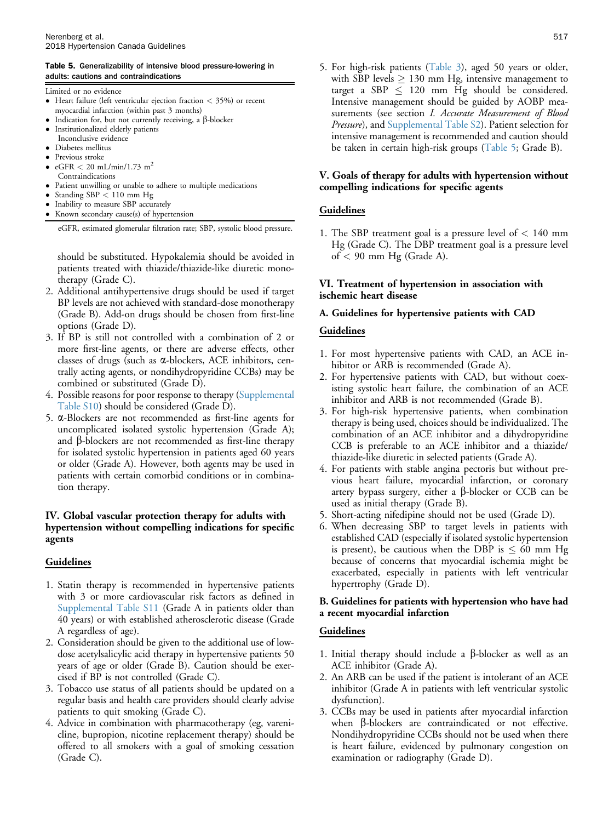#### Table 5. Generalizability of intensive blood pressure-lowering in adults: cautions and contraindications

- Limited or no evidence
- Heart failure (left ventricular ejection fraction < 35%) or recent myocardial infarction (within past 3 months)
- Indication for, but not currently receiving, a  $\beta$ -blocker
- Institutionalized elderly patients
- Inconclusive evidence
- Diabetes mellitus
- **Previous stroke**
- $eGFR < 20$  mL/min/1.73 m<sup>2</sup>
- Contraindications
- Patient unwilling or unable to adhere to multiple medications
- Standing SBP < 110 mm Hg
- Inability to measure SBP accurately<br>• Known secondary cause(s) of hyper

Known secondary cause(s) of hypertension

eGFR, estimated glomerular filtration rate; SBP, systolic blood pressure.

should be substituted. Hypokalemia should be avoided in patients treated with thiazide/thiazide-like diuretic monotherapy (Grade C).

- 2. Additional antihypertensive drugs should be used if target BP levels are not achieved with standard-dose monotherapy (Grade B). Add-on drugs should be chosen from first-line options (Grade D).
- 3. If BP is still not controlled with a combination of 2 or more first-line agents, or there are adverse effects, other classes of drugs (such as  $\alpha$ -blockers, ACE inhibitors, centrally acting agents, or nondihydropyridine CCBs) may be combined or substituted (Grade D).
- 4. Possible reasons for poor response to therapy ([Supplemental](#page-19-0) [Table S10\)](#page-19-0) should be considered (Grade D).
- 5. a-Blockers are not recommended as first-line agents for uncomplicated isolated systolic hypertension (Grade A); and  $\beta$ -blockers are not recommended as first-line therapy for isolated systolic hypertension in patients aged 60 years or older (Grade A). However, both agents may be used in patients with certain comorbid conditions or in combination therapy.

# IV. Global vascular protection therapy for adults with hypertension without compelling indications for specific agents

# **Guidelines**

- 1. Statin therapy is recommended in hypertensive patients with 3 or more cardiovascular risk factors as defined in [Supplemental Table S11](#page-19-0) (Grade A in patients older than 40 years) or with established atherosclerotic disease (Grade A regardless of age).
- 2. Consideration should be given to the additional use of lowdose acetylsalicylic acid therapy in hypertensive patients 50 years of age or older (Grade B). Caution should be exercised if BP is not controlled (Grade C).
- 3. Tobacco use status of all patients should be updated on a regular basis and health care providers should clearly advise patients to quit smoking (Grade C).
- 4. Advice in combination with pharmacotherapy (eg, varenicline, bupropion, nicotine replacement therapy) should be offered to all smokers with a goal of smoking cessation (Grade C).

5. For high-risk patients [\(Table 3](#page-9-0)), aged 50 years or older, with SBP levels  $\geq 130$  mm Hg, intensive management to target a SBP  $\leq$  120 mm Hg should be considered. Intensive management should be guided by AOBP measurements (see section I. Accurate Measurement of Blood Pressure), and [Supplemental Table S2](#page-19-0)). Patient selection for intensive management is recommended and caution should be taken in certain high-risk groups (Table 5; Grade B).

# V. Goals of therapy for adults with hypertension without compelling indications for specific agents

# Guidelines

1. The SBP treatment goal is a pressure level of  $< 140$  mm Hg (Grade C). The DBP treatment goal is a pressure level of  $<$  90 mm Hg (Grade A).

# VI. Treatment of hypertension in association with ischemic heart disease

# A. Guidelines for hypertensive patients with CAD

# Guidelines

- 1. For most hypertensive patients with CAD, an ACE inhibitor or ARB is recommended (Grade A).
- 2. For hypertensive patients with CAD, but without coexisting systolic heart failure, the combination of an ACE inhibitor and ARB is not recommended (Grade B).
- 3. For high-risk hypertensive patients, when combination therapy is being used, choices should be individualized. The combination of an ACE inhibitor and a dihydropyridine CCB is preferable to an ACE inhibitor and a thiazide/ thiazide-like diuretic in selected patients (Grade A).
- 4. For patients with stable angina pectoris but without previous heart failure, myocardial infarction, or coronary artery bypass surgery, either a  $\beta$ -blocker or CCB can be used as initial therapy (Grade B).
- 5. Short-acting nifedipine should not be used (Grade D).
- 6. When decreasing SBP to target levels in patients with established CAD (especially if isolated systolic hypertension is present), be cautious when the DBP is  $\leq 60$  mm Hg because of concerns that myocardial ischemia might be exacerbated, especially in patients with left ventricular hypertrophy (Grade D).

## B. Guidelines for patients with hypertension who have had a recent myocardial infarction

- 1. Initial therapy should include a  $\beta$ -blocker as well as an ACE inhibitor (Grade A).
- 2. An ARB can be used if the patient is intolerant of an ACE inhibitor (Grade A in patients with left ventricular systolic dysfunction).
- 3. CCBs may be used in patients after myocardial infarction when  $\beta$ -blockers are contraindicated or not effective. Nondihydropyridine CCBs should not be used when there is heart failure, evidenced by pulmonary congestion on examination or radiography (Grade D).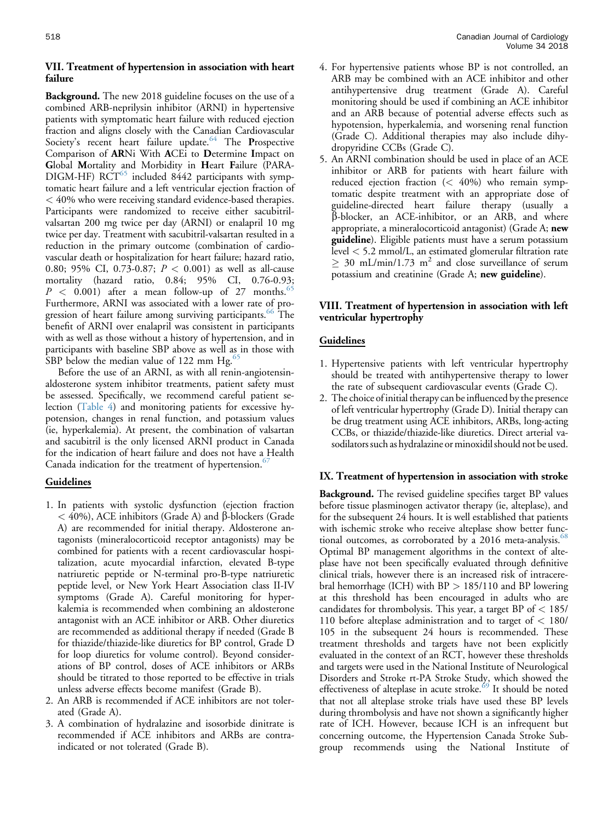## VII. Treatment of hypertension in association with heart failure

Background. The new 2018 guideline focuses on the use of a combined ARB-neprilysin inhibitor (ARNI) in hypertensive patients with symptomatic heart failure with reduced ejection fraction and aligns closely with the Canadian Cardiovascular Society's recent heart failure update.<sup>[64](#page-19-0)</sup> The Prospective Comparison of ARNi With ACEi to Determine Impact on Global Mortality and Morbidity in Heart Failure (PARA-DIGM-HF)  $RCT^{65}$  $RCT^{65}$  $RCT^{65}$  included 8442 participants with symptomatic heart failure and a left ventricular ejection fraction of < 40% who were receiving standard evidence-based therapies. Participants were randomized to receive either sacubitrilvalsartan 200 mg twice per day (ARNI) or enalapril 10 mg twice per day. Treatment with sacubitril-valsartan resulted in a reduction in the primary outcome (combination of cardiovascular death or hospitalization for heart failure; hazard ratio, 0.80; 95% CI, 0.73-0.87; P < 0.001) as well as all-cause mortality (hazard ratio, 0.84; 95% CI, 0.76-0.93;  $P < 0.001$ ) after a mean follow-up of 27 months. Furthermore, ARNI was associated with a lower rate of pro-gression of heart failure among surviving participants.<sup>[66](#page-19-0)</sup> The benefit of ARNI over enalapril was consistent in participants with as well as those without a history of hypertension, and in participants with baseline SBP above as well as in those with SBP below the median value of 122 mm  $Hg<sub>0</sub>$ <sup>[65](#page-19-0)</sup>

Before the use of an ARNI, as with all renin-angiotensinaldosterone system inhibitor treatments, patient safety must be assessed. Specifically, we recommend careful patient selection ([Table 4\)](#page-10-0) and monitoring patients for excessive hypotension, changes in renal function, and potassium values (ie, hyperkalemia). At present, the combination of valsartan and sacubitril is the only licensed ARNI product in Canada for the indication of heart failure and does not have a Health Canada indication for the treatment of hypertension. $67$ 

## **Guidelines**

- 1. In patients with systolic dysfunction (ejection fraction  $<$  40%), ACE inhibitors (Grade A) and  $\beta$ -blockers (Grade A) are recommended for initial therapy. Aldosterone antagonists (mineralocorticoid receptor antagonists) may be combined for patients with a recent cardiovascular hospitalization, acute myocardial infarction, elevated B-type natriuretic peptide or N-terminal pro-B-type natriuretic peptide level, or New York Heart Association class II-IV symptoms (Grade A). Careful monitoring for hyperkalemia is recommended when combining an aldosterone antagonist with an ACE inhibitor or ARB. Other diuretics are recommended as additional therapy if needed (Grade B for thiazide/thiazide-like diuretics for BP control, Grade D for loop diuretics for volume control). Beyond considerations of BP control, doses of ACE inhibitors or ARBs should be titrated to those reported to be effective in trials unless adverse effects become manifest (Grade B).
- 2. An ARB is recommended if ACE inhibitors are not tolerated (Grade A).
- 3. A combination of hydralazine and isosorbide dinitrate is recommended if ACE inhibitors and ARBs are contraindicated or not tolerated (Grade B).
- 4. For hypertensive patients whose BP is not controlled, an ARB may be combined with an ACE inhibitor and other antihypertensive drug treatment (Grade A). Careful monitoring should be used if combining an ACE inhibitor and an ARB because of potential adverse effects such as hypotension, hyperkalemia, and worsening renal function (Grade C). Additional therapies may also include dihydropyridine CCBs (Grade C).
- 5. An ARNI combination should be used in place of an ACE inhibitor or ARB for patients with heart failure with reduced ejection fraction  $(< 40\%)$  who remain symptomatic despite treatment with an appropriate dose of guideline-directed heart failure therapy (usually a b-blocker, an ACE-inhibitor, or an ARB, and where appropriate, a mineralocorticoid antagonist) (Grade A; new **guideline**). Eligible patients must have a serum potassium level < 5.2 mmol/L, an estimated glomerular filtration rate  $\geq 30$  mL/min/1.73 m<sup>2</sup> and close surveillance of serum potassium and creatinine (Grade A; new guideline).

# VIII. Treatment of hypertension in association with left ventricular hypertrophy

# Guidelines

- 1. Hypertensive patients with left ventricular hypertrophy should be treated with antihypertensive therapy to lower the rate of subsequent cardiovascular events (Grade C).
- 2. The choice of initial therapy can be influenced by the presence of left ventricular hypertrophy (Grade D). Initial therapy can be drug treatment using ACE inhibitors, ARBs, long-acting CCBs, or thiazide/thiazide-like diuretics. Direct arterial vasodilators such as hydralazine or minoxidil should not be used.

## IX. Treatment of hypertension in association with stroke

Background. The revised guideline specifies target BP values before tissue plasminogen activator therapy (ie, alteplase), and for the subsequent 24 hours. It is well established that patients with ischemic stroke who receive alteplase show better func-tional outcomes, as corroborated by a 2016 meta-analysis.<sup>[68](#page-19-0)</sup> Optimal BP management algorithms in the context of alteplase have not been specifically evaluated through definitive clinical trials, however there is an increased risk of intracerebral hemorrhage (ICH) with  $BP > 185/110$  and BP lowering at this threshold has been encouraged in adults who are candidates for thrombolysis. This year, a target BP of < 185/ 110 before alteplase administration and to target of < 180/ 105 in the subsequent 24 hours is recommended. These treatment thresholds and targets have not been explicitly evaluated in the context of an RCT, however these thresholds and targets were used in the National Institute of Neurological Disorders and Stroke rt-PA Stroke Study, which showed the effectiveness of alteplase in acute stroke. $69$  It should be noted that not all alteplase stroke trials have used these BP levels during thrombolysis and have not shown a significantly higher rate of ICH. However, because ICH is an infrequent but concerning outcome, the Hypertension Canada Stroke Subgroup recommends using the National Institute of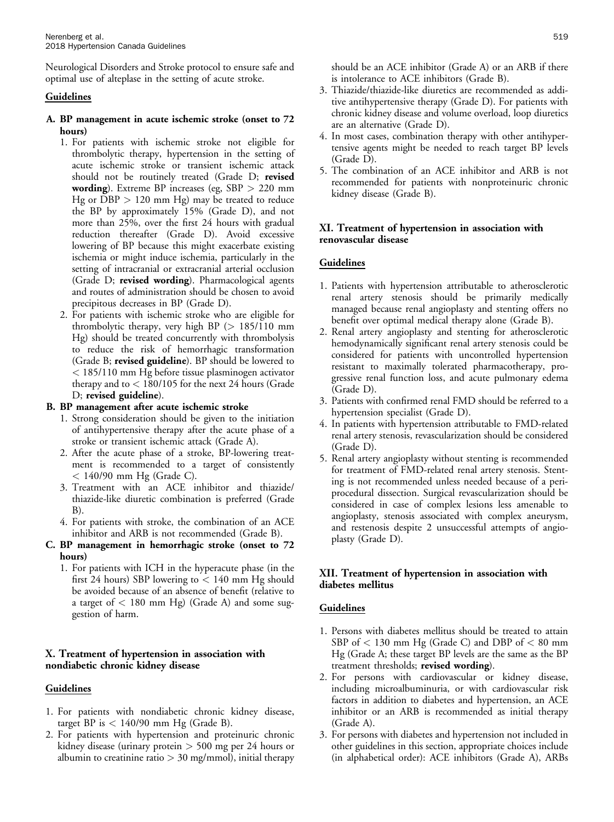Neurological Disorders and Stroke protocol to ensure safe and optimal use of alteplase in the setting of acute stroke.

# Guidelines

- A. BP management in acute ischemic stroke (onset to 72 hours)
	- 1. For patients with ischemic stroke not eligible for thrombolytic therapy, hypertension in the setting of acute ischemic stroke or transient ischemic attack should not be routinely treated (Grade D; revised wording). Extreme BP increases (eg, SBP > 220 mm Hg or DBP > 120 mm Hg) may be treated to reduce the BP by approximately 15% (Grade D), and not more than 25%, over the first 24 hours with gradual reduction thereafter (Grade D). Avoid excessive lowering of BP because this might exacerbate existing ischemia or might induce ischemia, particularly in the setting of intracranial or extracranial arterial occlusion (Grade D; revised wording). Pharmacological agents and routes of administration should be chosen to avoid precipitous decreases in BP (Grade D).
	- 2. For patients with ischemic stroke who are eligible for thrombolytic therapy, very high BP  $(> 185/110$  mm Hg) should be treated concurrently with thrombolysis to reduce the risk of hemorrhagic transformation (Grade B; revised guideline). BP should be lowered to < 185/110 mm Hg before tissue plasminogen activator therapy and to < 180/105 for the next 24 hours (Grade D; revised guideline).

# B. BP management after acute ischemic stroke

- 1. Strong consideration should be given to the initiation of antihypertensive therapy after the acute phase of a stroke or transient ischemic attack (Grade A).
- 2. After the acute phase of a stroke, BP-lowering treatment is recommended to a target of consistently < 140/90 mm Hg (Grade C).
- 3. Treatment with an ACE inhibitor and thiazide/ thiazide-like diuretic combination is preferred (Grade B).
- 4. For patients with stroke, the combination of an ACE inhibitor and ARB is not recommended (Grade B).
- C. BP management in hemorrhagic stroke (onset to 72 hours)
	- 1. For patients with ICH in the hyperacute phase (in the first 24 hours) SBP lowering to  $< 140$  mm Hg should be avoided because of an absence of benefit (relative to a target of  $< 180$  mm Hg) (Grade A) and some suggestion of harm.

# X. Treatment of hypertension in association with nondiabetic chronic kidney disease

# Guidelines

- 1. For patients with nondiabetic chronic kidney disease, target BP is  $< 140/90$  mm Hg (Grade B).
- 2. For patients with hypertension and proteinuric chronic kidney disease (urinary protein > 500 mg per 24 hours or albumin to creatinine ratio  $>$  30 mg/mmol), initial therapy

should be an ACE inhibitor (Grade A) or an ARB if there is intolerance to ACE inhibitors (Grade B).

- 3. Thiazide/thiazide-like diuretics are recommended as additive antihypertensive therapy (Grade D). For patients with chronic kidney disease and volume overload, loop diuretics are an alternative (Grade D).
- 4. In most cases, combination therapy with other antihypertensive agents might be needed to reach target BP levels (Grade D).
- 5. The combination of an ACE inhibitor and ARB is not recommended for patients with nonproteinuric chronic kidney disease (Grade B).

# XI. Treatment of hypertension in association with renovascular disease

# **Guidelines**

- 1. Patients with hypertension attributable to atherosclerotic renal artery stenosis should be primarily medically managed because renal angioplasty and stenting offers no benefit over optimal medical therapy alone (Grade B).
- 2. Renal artery angioplasty and stenting for atherosclerotic hemodynamically significant renal artery stenosis could be considered for patients with uncontrolled hypertension resistant to maximally tolerated pharmacotherapy, progressive renal function loss, and acute pulmonary edema (Grade D).
- 3. Patients with confirmed renal FMD should be referred to a hypertension specialist (Grade D).
- 4. In patients with hypertension attributable to FMD-related renal artery stenosis, revascularization should be considered (Grade D).
- 5. Renal artery angioplasty without stenting is recommended for treatment of FMD-related renal artery stenosis. Stenting is not recommended unless needed because of a periprocedural dissection. Surgical revascularization should be considered in case of complex lesions less amenable to angioplasty, stenosis associated with complex aneurysm, and restenosis despite 2 unsuccessful attempts of angioplasty (Grade D).

# XII. Treatment of hypertension in association with diabetes mellitus

- 1. Persons with diabetes mellitus should be treated to attain SBP of < 130 mm Hg (Grade C) and DBP of < 80 mm Hg (Grade A; these target BP levels are the same as the BP treatment thresholds; revised wording).
- 2. For persons with cardiovascular or kidney disease, including microalbuminuria, or with cardiovascular risk factors in addition to diabetes and hypertension, an ACE inhibitor or an ARB is recommended as initial therapy (Grade A).
- 3. For persons with diabetes and hypertension not included in other guidelines in this section, appropriate choices include (in alphabetical order): ACE inhibitors (Grade A), ARBs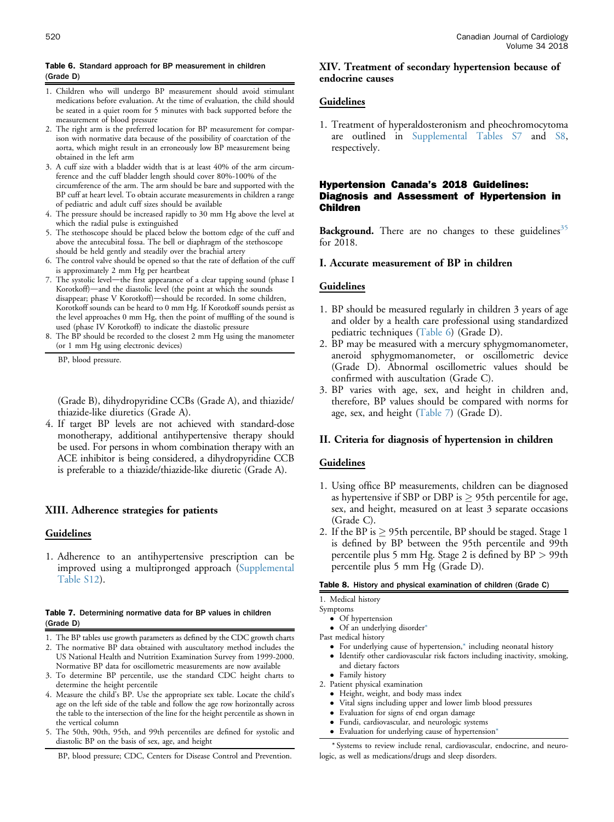# <span id="page-14-0"></span>Table 6. Standard approach for BP measurement in children (Grade D)

- 1. Children who will undergo BP measurement should avoid stimulant medications before evaluation. At the time of evaluation, the child should be seated in a quiet room for 5 minutes with back supported before the measurement of blood pressure
- 2. The right arm is the preferred location for BP measurement for comparison with normative data because of the possibility of coarctation of the aorta, which might result in an erroneously low BP measurement being obtained in the left arm
- 3. A cuff size with a bladder width that is at least 40% of the arm circumference and the cuff bladder length should cover 80%-100% of the circumference of the arm. The arm should be bare and supported with the BP cuff at heart level. To obtain accurate measurements in children a range of pediatric and adult cuff sizes should be available
- 4. The pressure should be increased rapidly to 30 mm Hg above the level at which the radial pulse is extinguished
- 5. The stethoscope should be placed below the bottom edge of the cuff and above the antecubital fossa. The bell or diaphragm of the stethoscope should be held gently and steadily over the brachial artery
- 6. The control valve should be opened so that the rate of deflation of the cuff is approximately 2 mm Hg per heartbeat
- 7. The systolic level-the first appearance of a clear tapping sound (phase I Korotkoff)—and the diastolic level (the point at which the sounds disappear; phase V Korotkoff)-should be recorded. In some children, Korotkoff sounds can be heard to 0 mm Hg. If Korotkoff sounds persist as the level approaches 0 mm Hg, then the point of muffling of the sound is used (phase IV Korotkoff) to indicate the diastolic pressure
- 8. The BP should be recorded to the closest 2 mm Hg using the manometer (or 1 mm Hg using electronic devices)

BP, blood pressure.

(Grade B), dihydropyridine CCBs (Grade A), and thiazide/ thiazide-like diuretics (Grade A).

4. If target BP levels are not achieved with standard-dose monotherapy, additional antihypertensive therapy should be used. For persons in whom combination therapy with an ACE inhibitor is being considered, a dihydropyridine CCB is preferable to a thiazide/thiazide-like diuretic (Grade A).

# XIII. Adherence strategies for patients

## Guidelines

1. Adherence to an antihypertensive prescription can be improved using a multipronged approach ([Supplemental](#page-19-0) [Table S12\)](#page-19-0).

#### Table 7. Determining normative data for BP values in children (Grade D)

- 1. The BP tables use growth parameters as defined by the CDC growth charts
- 2. The normative BP data obtained with auscultatory method includes the US National Health and Nutrition Examination Survey from 1999-2000. Normative BP data for oscillometric measurements are now available
- 3. To determine BP percentile, use the standard CDC height charts to determine the height percentile
- 4. Measure the child's BP. Use the appropriate sex table. Locate the child's age on the left side of the table and follow the age row horizontally across the table to the intersection of the line for the height percentile as shown in the vertical column
- 5. The 50th, 90th, 95th, and 99th percentiles are defined for systolic and diastolic BP on the basis of sex, age, and height

BP, blood pressure; CDC, Centers for Disease Control and Prevention.

### XIV. Treatment of secondary hypertension because of endocrine causes

# Guidelines

1. Treatment of hyperaldosteronism and pheochromocytoma are outlined in [Supplemental Tables S7](#page-19-0) and [S8,](#page-19-0) respectively.

## Hypertension Canada's 2018 Guidelines: Diagnosis and Assessment of Hypertension in Children

Background. There are no changes to these guidelines<sup>[35](#page-18-0)</sup> for 2018.

# I. Accurate measurement of BP in children

# Guidelines

- 1. BP should be measured regularly in children 3 years of age and older by a health care professional using standardized pediatric techniques (Table 6) (Grade D).
- 2. BP may be measured with a mercury sphygmomanometer, aneroid sphygmomanometer, or oscillometric device (Grade D). Abnormal oscillometric values should be confirmed with auscultation (Grade C).
- 3. BP varies with age, sex, and height in children and, therefore, BP values should be compared with norms for age, sex, and height (Table 7) (Grade D).

# II. Criteria for diagnosis of hypertension in children

## Guidelines

- 1. Using office BP measurements, children can be diagnosed as hypertensive if SBP or DBP is  $\geq$  95th percentile for age, sex, and height, measured on at least 3 separate occasions (Grade C).
- 2. If the BP is  $\geq$  95th percentile, BP should be staged. Stage 1 is defined by BP between the 95th percentile and 99th percentile plus 5 mm Hg. Stage 2 is defined by BP > 99th percentile plus 5 mm Hg (Grade D).

#### Table 8. History and physical examination of children (Grade C)

1. Medical history

- Symptoms
	- Of hypertension Of an underlying disorder\*
- Past medical history

- For underlying cause of hypertension,\* including neonatal history Identify other cardiovascular risk factors including inactivity, smoking,
- and dietary factors Family history
- 
- 2. Patient physical examination
	- Height, weight, and body mass index Vital signs including upper and lower limb blood pressures
	- Evaluation for signs of end organ damage
	- Fundi, cardiovascular, and neurologic systems
	- Evaluation for underlying cause of hypertension\*

\* Systems to review include renal, cardiovascular, endocrine, and neurologic, as well as medications/drugs and sleep disorders.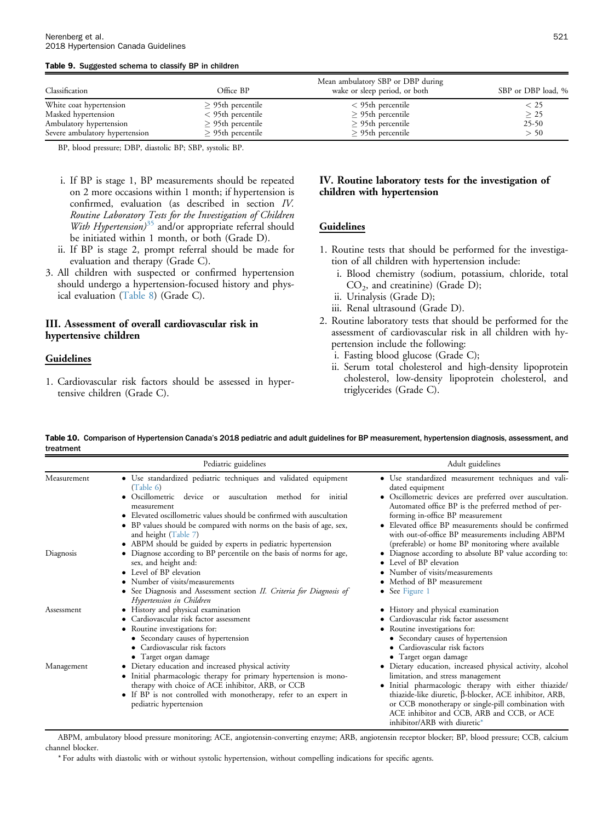#### <span id="page-15-0"></span>Table 9. Suggested schema to classify BP in children

| Classification                 | Office BP              | Mean ambulatory SBP or DBP during<br>wake or sleep period, or both | SBP or DBP load, % |
|--------------------------------|------------------------|--------------------------------------------------------------------|--------------------|
| White coat hypertension        | $\geq$ 95th percentile | $<$ 95th percentile                                                | $<$ 25             |
| Masked hypertension            | $<$ 95th percentile    | $\geq$ 95th percentile                                             | > 25               |
| Ambulatory hypertension        | $\geq$ 95th percentile | $>$ 95th percentile                                                | $25-50$            |
| Severe ambulatory hypertension | $>$ 95th percentile    | $>$ 95th percentile                                                | > 50               |

BP, blood pressure; DBP, diastolic BP; SBP, systolic BP.

- i. If BP is stage 1, BP measurements should be repeated on 2 more occasions within 1 month; if hypertension is confirmed, evaluation (as described in section IV. Routine Laboratory Tests for the Investigation of Children With Hypertension) $35$  and/or appropriate referral should be initiated within 1 month, or both (Grade D).
- ii. If BP is stage 2, prompt referral should be made for evaluation and therapy (Grade C).
- 3. All children with suspected or confirmed hypertension should undergo a hypertension-focused history and physical evaluation [\(Table 8\)](#page-14-0) (Grade C).

# III. Assessment of overall cardiovascular risk in hypertensive children

# Guidelines

1. Cardiovascular risk factors should be assessed in hypertensive children (Grade C).

## IV. Routine laboratory tests for the investigation of children with hypertension

# Guidelines

- 1. Routine tests that should be performed for the investigation of all children with hypertension include:
	- i. Blood chemistry (sodium, potassium, chloride, total  $CO<sub>2</sub>$ , and creatinine) (Grade D);
	- ii. Urinalysis (Grade D);
	- iii. Renal ultrasound (Grade D).
- 2. Routine laboratory tests that should be performed for the assessment of cardiovascular risk in all children with hypertension include the following:
	- i. Fasting blood glucose (Grade C);
	- ii. Serum total cholesterol and high-density lipoprotein cholesterol, low-density lipoprotein cholesterol, and triglycerides (Grade C).

Table 10. Comparison of Hypertension Canada's 2018 pediatric and adult guidelines for BP measurement, hypertension diagnosis, assessment, and treatment

|             | Pediatric guidelines                                                                                                                                                                                                                                                                                                                                                                                         | Adult guidelines                                                                                                                                                                                                                                                                                                                                                                                  |
|-------------|--------------------------------------------------------------------------------------------------------------------------------------------------------------------------------------------------------------------------------------------------------------------------------------------------------------------------------------------------------------------------------------------------------------|---------------------------------------------------------------------------------------------------------------------------------------------------------------------------------------------------------------------------------------------------------------------------------------------------------------------------------------------------------------------------------------------------|
| Measurement | • Use standardized pediatric techniques and validated equipment<br>(Table 6)<br>• Oscillometric<br>auscultation method<br>device or<br>for<br>initial<br>measurement<br>• Elevated oscillometric values should be confirmed with auscultation<br>• BP values should be compared with norms on the basis of age, sex,<br>and height (Table 7)<br>• ABPM should be guided by experts in pediatric hypertension | · Use standardized measurement techniques and vali-<br>dated equipment<br>• Oscillometric devices are preferred over auscultation.<br>Automated office BP is the preferred method of per-<br>forming in-office BP measurement<br>• Elevated office BP measurements should be confirmed<br>with out-of-office BP measurements including ABPM<br>(preferable) or home BP monitoring where available |
| Diagnosis   | • Diagnose according to BP percentile on the basis of norms for age,<br>sex, and height and:<br>• Level of BP elevation<br>• Number of visits/measurements<br>• See Diagnosis and Assessment section II. Criteria for Diagnosis of<br>Hypertension in Children                                                                                                                                               | • Diagnose according to absolute BP value according to:<br>• Level of BP elevation<br>• Number of visits/measurements<br>• Method of BP measurement<br>• See Figure 1                                                                                                                                                                                                                             |
| Assessment  | • History and physical examination<br>• Cardiovascular risk factor assessment<br>• Routine investigations for:<br>• Secondary causes of hypertension<br>Cardiovascular risk factors<br>• Target organ damage                                                                                                                                                                                                 | • History and physical examination<br>• Cardiovascular risk factor assessment<br>• Routine investigations for:<br>• Secondary causes of hypertension<br>Cardiovascular risk factors<br>• Target organ damage                                                                                                                                                                                      |
| Management  | • Dietary education and increased physical activity<br>• Initial pharmacologic therapy for primary hypertension is mono-<br>therapy with choice of ACE inhibitor, ARB, or CCB<br>• If BP is not controlled with monotherapy, refer to an expert in<br>pediatric hypertension                                                                                                                                 | · Dietary education, increased physical activity, alcohol<br>limitation, and stress management<br>· Initial pharmacologic therapy with either thiazide/<br>thiazide-like diuretic, β-blocker, ACE inhibitor, ARB,<br>or CCB monotherapy or single-pill combination with<br>ACE inhibitor and CCB, ARB and CCB, or ACE<br>inhibitor/ARB with diuretic*                                             |

ABPM, ambulatory blood pressure monitoring; ACE, angiotensin-converting enzyme; ARB, angiotensin receptor blocker; BP, blood pressure; CCB, calcium channel blocker.

\* For adults with diastolic with or without systolic hypertension, without compelling indications for specific agents.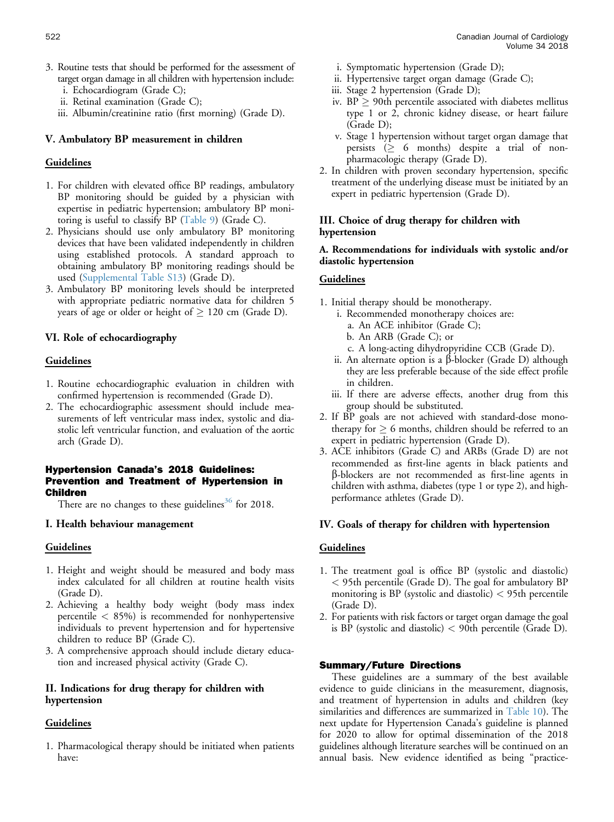- 3. Routine tests that should be performed for the assessment of target organ damage in all children with hypertension include:
	- i. Echocardiogram (Grade C);
	- ii. Retinal examination (Grade C);
	- iii. Albumin/creatinine ratio (first morning) (Grade D).

# V. Ambulatory BP measurement in children

# **Guidelines**

- 1. For children with elevated office BP readings, ambulatory BP monitoring should be guided by a physician with expertise in pediatric hypertension; ambulatory BP monitoring is useful to classify BP ([Table 9\)](#page-15-0) (Grade C).
- 2. Physicians should use only ambulatory BP monitoring devices that have been validated independently in children using established protocols. A standard approach to obtaining ambulatory BP monitoring readings should be used ([Supplemental Table S13](#page-19-0)) (Grade D).
- 3. Ambulatory BP monitoring levels should be interpreted with appropriate pediatric normative data for children 5 years of age or older or height of  $\geq 120$  cm (Grade D).

# VI. Role of echocardiography

## Guidelines

- 1. Routine echocardiographic evaluation in children with confirmed hypertension is recommended (Grade D).
- 2. The echocardiographic assessment should include measurements of left ventricular mass index, systolic and diastolic left ventricular function, and evaluation of the aortic arch (Grade D).

## Hypertension Canada's 2018 Guidelines: Prevention and Treatment of Hypertension in Children

There are no changes to these guidelines<sup>[36](#page-18-0)</sup> for 2018.

## I. Health behaviour management

## Guidelines

- 1. Height and weight should be measured and body mass index calculated for all children at routine health visits (Grade D).
- 2. Achieving a healthy body weight (body mass index percentile  $<$  85%) is recommended for nonhypertensive individuals to prevent hypertension and for hypertensive children to reduce BP (Grade C).
- 3. A comprehensive approach should include dietary education and increased physical activity (Grade C).

# II. Indications for drug therapy for children with hypertension

# Guidelines

1. Pharmacological therapy should be initiated when patients have:

- i. Symptomatic hypertension (Grade D);
- ii. Hypertensive target organ damage (Grade C);
- iii. Stage 2 hypertension (Grade D);
- iv.  $BP \geq 90$ th percentile associated with diabetes mellitus type 1 or 2, chronic kidney disease, or heart failure (Grade D);
- v. Stage 1 hypertension without target organ damage that persists  $( \geq 6 \text{ months})$  despite a trial of nonpharmacologic therapy (Grade D).
- 2. In children with proven secondary hypertension, specific treatment of the underlying disease must be initiated by an expert in pediatric hypertension (Grade D).

# III. Choice of drug therapy for children with hypertension

# A. Recommendations for individuals with systolic and/or diastolic hypertension

# Guidelines

- 1. Initial therapy should be monotherapy.
	- i. Recommended monotherapy choices are:
		- a. An ACE inhibitor (Grade C);
		- b. An ARB (Grade C); or
		- c. A long-acting dihydropyridine CCB (Grade D).
	- ii. An alternate option is a  $\beta$ -blocker (Grade D) although they are less preferable because of the side effect profile in children.
	- iii. If there are adverse effects, another drug from this group should be substituted.
- 2. If BP goals are not achieved with standard-dose monotherapy for  $\geq 6$  months, children should be referred to an expert in pediatric hypertension (Grade D).
- 3. ACE inhibitors (Grade C) and ARBs (Grade D) are not recommended as first-line agents in black patients and b-blockers are not recommended as first-line agents in children with asthma, diabetes (type 1 or type 2), and highperformance athletes (Grade D).

# IV. Goals of therapy for children with hypertension

# **Guidelines**

- 1. The treatment goal is office BP (systolic and diastolic) < 95th percentile (Grade D). The goal for ambulatory BP monitoring is BP (systolic and diastolic)  $<$  95th percentile (Grade D).
- 2. For patients with risk factors or target organ damage the goal is BP (systolic and diastolic) < 90th percentile (Grade D).

## Summary/Future Directions

These guidelines are a summary of the best available evidence to guide clinicians in the measurement, diagnosis, and treatment of hypertension in adults and children (key similarities and differences are summarized in [Table 10](#page-15-0)). The next update for Hypertension Canada's guideline is planned for 2020 to allow for optimal dissemination of the 2018 guidelines although literature searches will be continued on an annual basis. New evidence identified as being "practice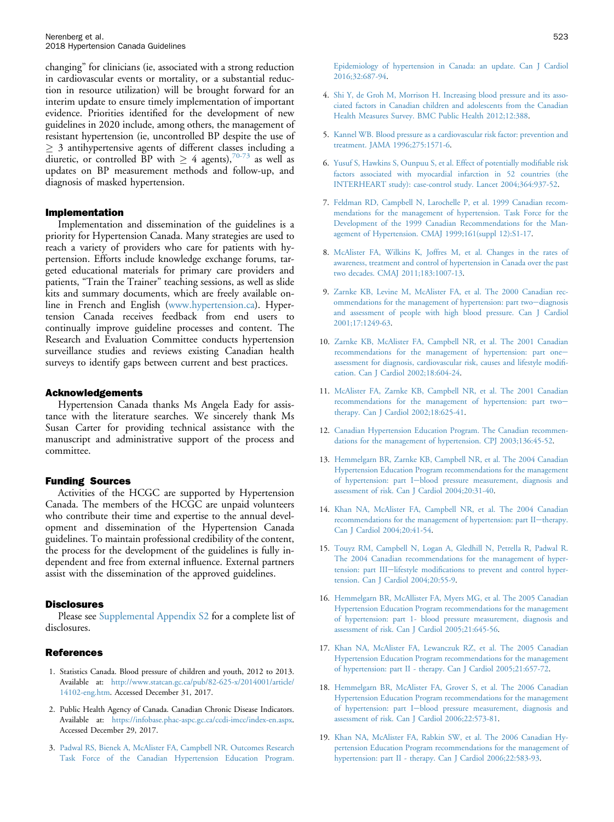<span id="page-17-0"></span>changing" for clinicians (ie, associated with a strong reduction in cardiovascular events or mortality, or a substantial reduction in resource utilization) will be brought forward for an interim update to ensure timely implementation of important evidence. Priorities identified for the development of new guidelines in 2020 include, among others, the management of resistant hypertension (ie, uncontrolled BP despite the use of  $\geq$  3 antihypertensive agents of different classes including a diuretic, or controlled BP with  $\geq 4$  agents),<sup>[70-73](#page-19-0)</sup> as well as updates on BP measurement methods and follow-up, and diagnosis of masked hypertension.

#### Implementation

Implementation and dissemination of the guidelines is a priority for Hypertension Canada. Many strategies are used to reach a variety of providers who care for patients with hypertension. Efforts include knowledge exchange forums, targeted educational materials for primary care providers and patients, "Train the Trainer" teaching sessions, as well as slide kits and summary documents, which are freely available online in French and English ([www.hypertension.ca\)](http://www.hypertension.ca). Hypertension Canada receives feedback from end users to continually improve guideline processes and content. The Research and Evaluation Committee conducts hypertension surveillance studies and reviews existing Canadian health surveys to identify gaps between current and best practices.

#### Acknowledgements

Hypertension Canada thanks Ms Angela Eady for assistance with the literature searches. We sincerely thank Ms Susan Carter for providing technical assistance with the manuscript and administrative support of the process and committee.

#### Funding Sources

Activities of the HCGC are supported by Hypertension Canada. The members of the HCGC are unpaid volunteers who contribute their time and expertise to the annual development and dissemination of the Hypertension Canada guidelines. To maintain professional credibility of the content, the process for the development of the guidelines is fully independent and free from external influence. External partners assist with the dissemination of the approved guidelines.

#### **Disclosures**

Please see [Supplemental Appendix S2](#page-19-0) for a complete list of disclosures.

#### References

- 1. Statistics Canada. Blood pressure of children and youth, 2012 to 2013. Available at: [http://www.statcan.gc.ca/pub/82-625-x/2014001/article/](http://www.statcan.gc.ca/pub/82-625-x/2014001/article/14102-eng.htm) [14102-eng.htm.](http://www.statcan.gc.ca/pub/82-625-x/2014001/article/14102-eng.htm) Accessed December 31, 2017.
- 2. Public Health Agency of Canada. Canadian Chronic Disease Indicators. Available at: <https://infobase.phac-aspc.gc.ca/ccdi-imcc/index-en.aspx>. Accessed December 29, 2017.
- 3. [Padwal RS, Bienek A, McAlister FA, Campbell NR. Outcomes Research](http://refhub.elsevier.com/S0828-282X(18)30183-1/sref3) [Task Force of the Canadian Hypertension Education Program.](http://refhub.elsevier.com/S0828-282X(18)30183-1/sref3)
- 4. [Shi Y, de Groh M, Morrison H. Increasing blood pressure and its asso](http://refhub.elsevier.com/S0828-282X(18)30183-1/sref4)[ciated factors in Canadian children and adolescents from the Canadian](http://refhub.elsevier.com/S0828-282X(18)30183-1/sref4) [Health Measures Survey. BMC Public Health 2012;12:388](http://refhub.elsevier.com/S0828-282X(18)30183-1/sref4).
- 5. [Kannel WB. Blood pressure as a cardiovascular risk factor: prevention and](http://refhub.elsevier.com/S0828-282X(18)30183-1/sref5) [treatment. JAMA 1996;275:1571-6.](http://refhub.elsevier.com/S0828-282X(18)30183-1/sref5)
- 6. [Yusuf S, Hawkins S, Ounpuu S, et al. Effect of potentially modi](http://refhub.elsevier.com/S0828-282X(18)30183-1/sref6)fiable risk [factors associated with myocardial infarction in 52 countries \(the](http://refhub.elsevier.com/S0828-282X(18)30183-1/sref6) [INTERHEART study\): case-control study. Lancet 2004;364:937-52](http://refhub.elsevier.com/S0828-282X(18)30183-1/sref6).
- 7. [Feldman RD, Campbell N, Larochelle P, et al. 1999 Canadian recom](http://refhub.elsevier.com/S0828-282X(18)30183-1/sref7)[mendations for the management of hypertension. Task Force for the](http://refhub.elsevier.com/S0828-282X(18)30183-1/sref7) [Development of the 1999 Canadian Recommendations for the Man](http://refhub.elsevier.com/S0828-282X(18)30183-1/sref7)[agement of Hypertension. CMAJ 1999;161\(suppl 12\):S1-17](http://refhub.elsevier.com/S0828-282X(18)30183-1/sref7).
- 8. [McAlister FA, Wilkins K, Joffres M, et al. Changes in the rates of](http://refhub.elsevier.com/S0828-282X(18)30183-1/sref8) [awareness, treatment and control of hypertension in Canada over the past](http://refhub.elsevier.com/S0828-282X(18)30183-1/sref8) [two decades. CMAJ 2011;183:1007-13.](http://refhub.elsevier.com/S0828-282X(18)30183-1/sref8)
- 9. [Zarnke KB, Levine M, McAlister FA, et al. The 2000 Canadian rec](http://refhub.elsevier.com/S0828-282X(18)30183-1/sref9)[ommendations for the management of hypertension: part two](http://refhub.elsevier.com/S0828-282X(18)30183-1/sref9)-[diagnosis](http://refhub.elsevier.com/S0828-282X(18)30183-1/sref9) [and assessment of people with high blood pressure. Can J Cardiol](http://refhub.elsevier.com/S0828-282X(18)30183-1/sref9) [2001;17:1249-63](http://refhub.elsevier.com/S0828-282X(18)30183-1/sref9).
- 10. [Zarnke KB, McAlister FA, Campbell NR, et al. The 2001 Canadian](http://refhub.elsevier.com/S0828-282X(18)30183-1/sref10) [recommendations for the management of hypertension: part one](http://refhub.elsevier.com/S0828-282X(18)30183-1/sref10)[assessment for diagnosis, cardiovascular risk, causes and lifestyle modi](http://refhub.elsevier.com/S0828-282X(18)30183-1/sref10)fi[cation. Can J Cardiol 2002;18:604-24](http://refhub.elsevier.com/S0828-282X(18)30183-1/sref10).
- 11. [McAlister FA, Zarnke KB, Campbell NR, et al. The 2001 Canadian](http://refhub.elsevier.com/S0828-282X(18)30183-1/sref11) [recommendations for the management of hypertension: part two](http://refhub.elsevier.com/S0828-282X(18)30183-1/sref11)[therapy. Can J Cardiol 2002;18:625-41](http://refhub.elsevier.com/S0828-282X(18)30183-1/sref11).
- 12. [Canadian Hypertension Education Program. The Canadian recommen](http://refhub.elsevier.com/S0828-282X(18)30183-1/sref12)[dations for the management of hypertension. CPJ 2003;136:45-52](http://refhub.elsevier.com/S0828-282X(18)30183-1/sref12).
- 13. [Hemmelgarn BR, Zarnke KB, Campbell NR, et al. The 2004 Canadian](http://refhub.elsevier.com/S0828-282X(18)30183-1/sref13) [Hypertension Education Program recommendations for the management](http://refhub.elsevier.com/S0828-282X(18)30183-1/sref13) [of hypertension: part I](http://refhub.elsevier.com/S0828-282X(18)30183-1/sref13)-[blood pressure measurement, diagnosis and](http://refhub.elsevier.com/S0828-282X(18)30183-1/sref13) [assessment of risk. Can J Cardiol 2004;20:31-40](http://refhub.elsevier.com/S0828-282X(18)30183-1/sref13).
- 14. [Khan NA, McAlister FA, Campbell NR, et al. The 2004 Canadian](http://refhub.elsevier.com/S0828-282X(18)30183-1/sref14) [recommendations for the management of hypertension: part II](http://refhub.elsevier.com/S0828-282X(18)30183-1/sref14)-[therapy.](http://refhub.elsevier.com/S0828-282X(18)30183-1/sref14) [Can J Cardiol 2004;20:41-54.](http://refhub.elsevier.com/S0828-282X(18)30183-1/sref14)
- 15. [Touyz RM, Campbell N, Logan A, Gledhill N, Petrella R, Padwal R.](http://refhub.elsevier.com/S0828-282X(18)30183-1/sref15) [The 2004 Canadian recommendations for the management of hyper](http://refhub.elsevier.com/S0828-282X(18)30183-1/sref15)[tension: part III](http://refhub.elsevier.com/S0828-282X(18)30183-1/sref15)-lifestyle modifi[cations to prevent and control hyper](http://refhub.elsevier.com/S0828-282X(18)30183-1/sref15)[tension. Can J Cardiol 2004;20:55-9.](http://refhub.elsevier.com/S0828-282X(18)30183-1/sref15)
- 16. [Hemmelgarn BR, McAllister FA, Myers MG, et al. The 2005 Canadian](http://refhub.elsevier.com/S0828-282X(18)30183-1/sref16) [Hypertension Education Program recommendations for the management](http://refhub.elsevier.com/S0828-282X(18)30183-1/sref16) [of hypertension: part 1- blood pressure measurement, diagnosis and](http://refhub.elsevier.com/S0828-282X(18)30183-1/sref16) [assessment of risk. Can J Cardiol 2005;21:645-56](http://refhub.elsevier.com/S0828-282X(18)30183-1/sref16).
- 17. [Khan NA, McAlister FA, Lewanczuk RZ, et al. The 2005 Canadian](http://refhub.elsevier.com/S0828-282X(18)30183-1/sref17) [Hypertension Education Program recommendations for the management](http://refhub.elsevier.com/S0828-282X(18)30183-1/sref17) [of hypertension: part II - therapy. Can J Cardiol 2005;21:657-72.](http://refhub.elsevier.com/S0828-282X(18)30183-1/sref17)
- 18. [Hemmelgarn BR, McAlister FA, Grover S, et al. The 2006 Canadian](http://refhub.elsevier.com/S0828-282X(18)30183-1/sref18) [Hypertension Education Program recommendations for the management](http://refhub.elsevier.com/S0828-282X(18)30183-1/sref18) [of hypertension: part I](http://refhub.elsevier.com/S0828-282X(18)30183-1/sref18)-[blood pressure measurement, diagnosis and](http://refhub.elsevier.com/S0828-282X(18)30183-1/sref18) [assessment of risk. Can J Cardiol 2006;22:573-81](http://refhub.elsevier.com/S0828-282X(18)30183-1/sref18).
- 19. [Khan NA, McAlister FA, Rabkin SW, et al. The 2006 Canadian Hy](http://refhub.elsevier.com/S0828-282X(18)30183-1/sref19)[pertension Education Program recommendations for the management of](http://refhub.elsevier.com/S0828-282X(18)30183-1/sref19) [hypertension: part II - therapy. Can J Cardiol 2006;22:583-93](http://refhub.elsevier.com/S0828-282X(18)30183-1/sref19).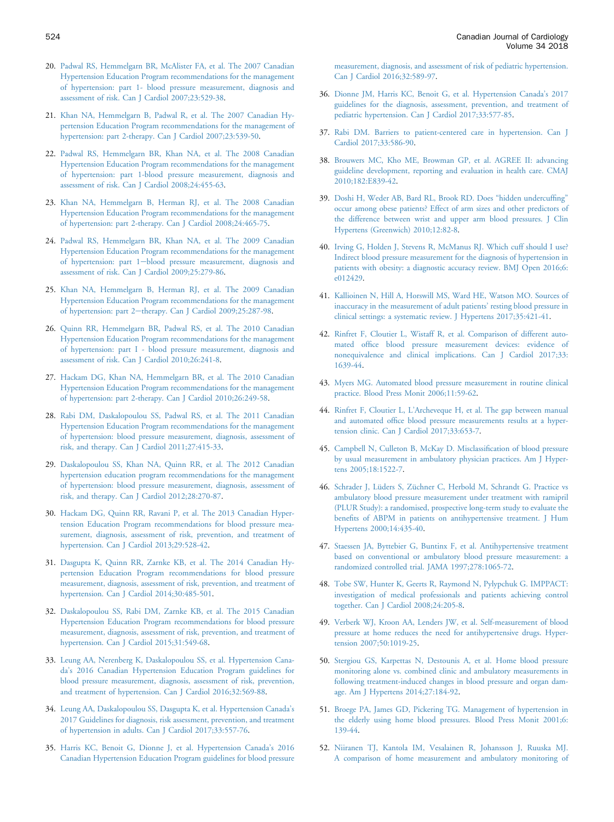- <span id="page-18-0"></span>20. [Padwal RS, Hemmelgarn BR, McAlister FA, et al. The 2007 Canadian](http://refhub.elsevier.com/S0828-282X(18)30183-1/sref20) [Hypertension Education Program recommendations for the management](http://refhub.elsevier.com/S0828-282X(18)30183-1/sref20) [of hypertension: part 1- blood pressure measurement, diagnosis and](http://refhub.elsevier.com/S0828-282X(18)30183-1/sref20) [assessment of risk. Can J Cardiol 2007;23:529-38](http://refhub.elsevier.com/S0828-282X(18)30183-1/sref20).
- 21. [Khan NA, Hemmelgarn B, Padwal R, et al. The 2007 Canadian Hy](http://refhub.elsevier.com/S0828-282X(18)30183-1/sref21)[pertension Education Program recommendations for the management of](http://refhub.elsevier.com/S0828-282X(18)30183-1/sref21) [hypertension: part 2-therapy. Can J Cardiol 2007;23:539-50.](http://refhub.elsevier.com/S0828-282X(18)30183-1/sref21)
- 22. [Padwal RS, Hemmelgarn BR, Khan NA, et al. The 2008 Canadian](http://refhub.elsevier.com/S0828-282X(18)30183-1/sref22) [Hypertension Education Program recommendations for the management](http://refhub.elsevier.com/S0828-282X(18)30183-1/sref22) [of hypertension: part 1-blood pressure measurement, diagnosis and](http://refhub.elsevier.com/S0828-282X(18)30183-1/sref22) [assessment of risk. Can J Cardiol 2008;24:455-63](http://refhub.elsevier.com/S0828-282X(18)30183-1/sref22).
- 23. [Khan NA, Hemmelgarn B, Herman RJ, et al. The 2008 Canadian](http://refhub.elsevier.com/S0828-282X(18)30183-1/sref23) [Hypertension Education Program recommendations for the management](http://refhub.elsevier.com/S0828-282X(18)30183-1/sref23) [of hypertension: part 2-therapy. Can J Cardiol 2008;24:465-75](http://refhub.elsevier.com/S0828-282X(18)30183-1/sref23).
- 24. [Padwal RS, Hemmelgarn BR, Khan NA, et al. The 2009 Canadian](http://refhub.elsevier.com/S0828-282X(18)30183-1/sref24) [Hypertension Education Program recommendations for the management](http://refhub.elsevier.com/S0828-282X(18)30183-1/sref24) [of hypertension: part 1](http://refhub.elsevier.com/S0828-282X(18)30183-1/sref24)-[blood pressure measurement, diagnosis and](http://refhub.elsevier.com/S0828-282X(18)30183-1/sref24) [assessment of risk. Can J Cardiol 2009;25:279-86](http://refhub.elsevier.com/S0828-282X(18)30183-1/sref24).
- 25. [Khan NA, Hemmelgarn B, Herman RJ, et al. The 2009 Canadian](http://refhub.elsevier.com/S0828-282X(18)30183-1/sref25) [Hypertension Education Program recommendations for the management](http://refhub.elsevier.com/S0828-282X(18)30183-1/sref25) [of hypertension: part 2](http://refhub.elsevier.com/S0828-282X(18)30183-1/sref25)-[therapy. Can J Cardiol 2009;25:287-98.](http://refhub.elsevier.com/S0828-282X(18)30183-1/sref25)
- 26. [Quinn RR, Hemmelgarn BR, Padwal RS, et al. The 2010 Canadian](http://refhub.elsevier.com/S0828-282X(18)30183-1/sref26) [Hypertension Education Program recommendations for the management](http://refhub.elsevier.com/S0828-282X(18)30183-1/sref26) [of hypertension: part I - blood pressure measurement, diagnosis and](http://refhub.elsevier.com/S0828-282X(18)30183-1/sref26) [assessment of risk. Can J Cardiol 2010;26:241-8](http://refhub.elsevier.com/S0828-282X(18)30183-1/sref26).
- 27. [Hackam DG, Khan NA, Hemmelgarn BR, et al. The 2010 Canadian](http://refhub.elsevier.com/S0828-282X(18)30183-1/sref27) [Hypertension Education Program recommendations for the management](http://refhub.elsevier.com/S0828-282X(18)30183-1/sref27) [of hypertension: part 2-therapy. Can J Cardiol 2010;26:249-58](http://refhub.elsevier.com/S0828-282X(18)30183-1/sref27).
- 28. [Rabi DM, Daskalopoulou SS, Padwal RS, et al. The 2011 Canadian](http://refhub.elsevier.com/S0828-282X(18)30183-1/sref28) [Hypertension Education Program recommendations for the management](http://refhub.elsevier.com/S0828-282X(18)30183-1/sref28) [of hypertension: blood pressure measurement, diagnosis, assessment of](http://refhub.elsevier.com/S0828-282X(18)30183-1/sref28) [risk, and therapy. Can J Cardiol 2011;27:415-33.](http://refhub.elsevier.com/S0828-282X(18)30183-1/sref28)
- 29. [Daskalopoulou SS, Khan NA, Quinn RR, et al. The 2012 Canadian](http://refhub.elsevier.com/S0828-282X(18)30183-1/sref29) [hypertension education program recommendations for the management](http://refhub.elsevier.com/S0828-282X(18)30183-1/sref29) [of hypertension: blood pressure measurement, diagnosis, assessment of](http://refhub.elsevier.com/S0828-282X(18)30183-1/sref29) [risk, and therapy. Can J Cardiol 2012;28:270-87.](http://refhub.elsevier.com/S0828-282X(18)30183-1/sref29)
- 30. [Hackam DG, Quinn RR, Ravani P, et al. The 2013 Canadian Hyper](http://refhub.elsevier.com/S0828-282X(18)30183-1/sref30)[tension Education Program recommendations for blood pressure mea](http://refhub.elsevier.com/S0828-282X(18)30183-1/sref30)[surement, diagnosis, assessment of risk, prevention, and treatment of](http://refhub.elsevier.com/S0828-282X(18)30183-1/sref30) [hypertension. Can J Cardiol 2013;29:528-42.](http://refhub.elsevier.com/S0828-282X(18)30183-1/sref30)
- 31. [Dasgupta K, Quinn RR, Zarnke KB, et al. The 2014 Canadian Hy](http://refhub.elsevier.com/S0828-282X(18)30183-1/sref31)[pertension Education Program recommendations for blood pressure](http://refhub.elsevier.com/S0828-282X(18)30183-1/sref31) [measurement, diagnosis, assessment of risk, prevention, and treatment of](http://refhub.elsevier.com/S0828-282X(18)30183-1/sref31) [hypertension. Can J Cardiol 2014;30:485-501.](http://refhub.elsevier.com/S0828-282X(18)30183-1/sref31)
- 32. [Daskalopoulou SS, Rabi DM, Zarnke KB, et al. The 2015 Canadian](http://refhub.elsevier.com/S0828-282X(18)30183-1/sref32) [Hypertension Education Program recommendations for blood pressure](http://refhub.elsevier.com/S0828-282X(18)30183-1/sref32) [measurement, diagnosis, assessment of risk, prevention, and treatment of](http://refhub.elsevier.com/S0828-282X(18)30183-1/sref32) [hypertension. Can J Cardiol 2015;31:549-68.](http://refhub.elsevier.com/S0828-282X(18)30183-1/sref32)
- 33. [Leung AA, Nerenberg K, Daskalopoulou SS, et al. Hypertension Cana](http://refhub.elsevier.com/S0828-282X(18)30183-1/sref33)da'[s 2016 Canadian Hypertension Education Program guidelines for](http://refhub.elsevier.com/S0828-282X(18)30183-1/sref33) [blood pressure measurement, diagnosis, assessment of risk, prevention,](http://refhub.elsevier.com/S0828-282X(18)30183-1/sref33) [and treatment of hypertension. Can J Cardiol 2016;32:569-88.](http://refhub.elsevier.com/S0828-282X(18)30183-1/sref33)
- 34. [Leung AA, Daskalopoulou SS, Dasgupta K, et al. Hypertension Canada](http://refhub.elsevier.com/S0828-282X(18)30183-1/sref34)'s [2017 Guidelines for diagnosis, risk assessment, prevention, and treatment](http://refhub.elsevier.com/S0828-282X(18)30183-1/sref34) [of hypertension in adults. Can J Cardiol 2017;33:557-76](http://refhub.elsevier.com/S0828-282X(18)30183-1/sref34).
- 35. [Harris KC, Benoit G, Dionne J, et al. Hypertension Canada](http://refhub.elsevier.com/S0828-282X(18)30183-1/sref35)'s 2016 [Canadian Hypertension Education Program guidelines for blood pressure](http://refhub.elsevier.com/S0828-282X(18)30183-1/sref35)

[measurement, diagnosis, and assessment of risk of pediatric hypertension.](http://refhub.elsevier.com/S0828-282X(18)30183-1/sref35) [Can J Cardiol 2016;32:589-97.](http://refhub.elsevier.com/S0828-282X(18)30183-1/sref35)

- 36. [Dionne JM, Harris KC, Benoit G, et al. Hypertension Canada](http://refhub.elsevier.com/S0828-282X(18)30183-1/sref36)'s 2017 [guidelines for the diagnosis, assessment, prevention, and treatment of](http://refhub.elsevier.com/S0828-282X(18)30183-1/sref36) [pediatric hypertension. Can J Cardiol 2017;33:577-85.](http://refhub.elsevier.com/S0828-282X(18)30183-1/sref36)
- 37. [Rabi DM. Barriers to patient-centered care in hypertension. Can J](http://refhub.elsevier.com/S0828-282X(18)30183-1/sref37) [Cardiol 2017;33:586-90](http://refhub.elsevier.com/S0828-282X(18)30183-1/sref37).
- 38. [Brouwers MC, Kho ME, Browman GP, et al. AGREE II: advancing](http://refhub.elsevier.com/S0828-282X(18)30183-1/sref38) [guideline development, reporting and evaluation in health care. CMAJ](http://refhub.elsevier.com/S0828-282X(18)30183-1/sref38) [2010;182:E839-42](http://refhub.elsevier.com/S0828-282X(18)30183-1/sref38).
- 39. [Doshi H, Weder AB, Bard RL, Brook RD. Does](http://refhub.elsevier.com/S0828-282X(18)30183-1/sref39) "hidden undercuffing" [occur among obese patients? Effect of arm sizes and other predictors of](http://refhub.elsevier.com/S0828-282X(18)30183-1/sref39) [the difference between wrist and upper arm blood pressures. J Clin](http://refhub.elsevier.com/S0828-282X(18)30183-1/sref39) [Hypertens \(Greenwich\) 2010;12:82-8](http://refhub.elsevier.com/S0828-282X(18)30183-1/sref39).
- 40. [Irving G, Holden J, Stevens R, McManus RJ. Which cuff should I use?](http://refhub.elsevier.com/S0828-282X(18)30183-1/sref40) [Indirect blood pressure measurement for the diagnosis of hypertension in](http://refhub.elsevier.com/S0828-282X(18)30183-1/sref40) [patients with obesity: a diagnostic accuracy review. BMJ Open 2016;6:](http://refhub.elsevier.com/S0828-282X(18)30183-1/sref40) [e012429.](http://refhub.elsevier.com/S0828-282X(18)30183-1/sref40)
- 41. [Kallioinen N, Hill A, Horswill MS, Ward HE, Watson MO. Sources of](http://refhub.elsevier.com/S0828-282X(18)30183-1/sref41) [inaccuracy in the measurement of adult patients](http://refhub.elsevier.com/S0828-282X(18)30183-1/sref41)' resting blood pressure in [clinical settings: a systematic review. J Hypertens 2017;35:421-41](http://refhub.elsevier.com/S0828-282X(18)30183-1/sref41).
- 42. [Rinfret F, Cloutier L, Wistaff R, et al. Comparison of different auto](http://refhub.elsevier.com/S0828-282X(18)30183-1/sref42)mated offi[ce blood pressure measurement devices: evidence of](http://refhub.elsevier.com/S0828-282X(18)30183-1/sref42) [nonequivalence and clinical implications. Can J Cardiol 2017;33:](http://refhub.elsevier.com/S0828-282X(18)30183-1/sref42) [1639-44.](http://refhub.elsevier.com/S0828-282X(18)30183-1/sref42)
- 43. [Myers MG. Automated blood pressure measurement in routine clinical](http://refhub.elsevier.com/S0828-282X(18)30183-1/sref43) [practice. Blood Press Monit 2006;11:59-62.](http://refhub.elsevier.com/S0828-282X(18)30183-1/sref43)
- 44. Rinfret F, Cloutier L, L'[Archeveque H, et al. The gap between manual](http://refhub.elsevier.com/S0828-282X(18)30183-1/sref44) and automated offi[ce blood pressure measurements results at a hyper](http://refhub.elsevier.com/S0828-282X(18)30183-1/sref44)[tension clinic. Can J Cardiol 2017;33:653-7.](http://refhub.elsevier.com/S0828-282X(18)30183-1/sref44)
- 45. [Campbell N, Culleton B, McKay D. Misclassi](http://refhub.elsevier.com/S0828-282X(18)30183-1/sref45)fication of blood pressure [by usual measurement in ambulatory physician practices. Am J Hyper](http://refhub.elsevier.com/S0828-282X(18)30183-1/sref45)[tens 2005;18:1522-7.](http://refhub.elsevier.com/S0828-282X(18)30183-1/sref45)
- 46. [Schrader J, Lüders S, Züchner C, Herbold M, Schrandt G. Practice vs](http://refhub.elsevier.com/S0828-282X(18)30183-1/sref46) [ambulatory blood pressure measurement under treatment with ramipril](http://refhub.elsevier.com/S0828-282X(18)30183-1/sref46) [\(PLUR Study\): a randomised, prospective long-term study to evaluate the](http://refhub.elsevier.com/S0828-282X(18)30183-1/sref46) benefi[ts of ABPM in patients on antihypertensive treatment. J Hum](http://refhub.elsevier.com/S0828-282X(18)30183-1/sref46) [Hypertens 2000;14:435-40](http://refhub.elsevier.com/S0828-282X(18)30183-1/sref46).
- 47. [Staessen JA, Byttebier G, Buntinx F, et al. Antihypertensive treatment](http://refhub.elsevier.com/S0828-282X(18)30183-1/sref47) [based on conventional or ambulatory blood pressure measurement: a](http://refhub.elsevier.com/S0828-282X(18)30183-1/sref47) [randomized controlled trial. JAMA 1997;278:1065-72.](http://refhub.elsevier.com/S0828-282X(18)30183-1/sref47)
- 48. [Tobe SW, Hunter K, Geerts R, Raymond N, Pylypchuk G. IMPPACT:](http://refhub.elsevier.com/S0828-282X(18)30183-1/sref48) [investigation of medical professionals and patients achieving control](http://refhub.elsevier.com/S0828-282X(18)30183-1/sref48) [together. Can J Cardiol 2008;24:205-8.](http://refhub.elsevier.com/S0828-282X(18)30183-1/sref48)
- 49. [Verberk WJ, Kroon AA, Lenders JW, et al. Self-measurement of blood](http://refhub.elsevier.com/S0828-282X(18)30183-1/sref49) [pressure at home reduces the need for antihypertensive drugs. Hyper](http://refhub.elsevier.com/S0828-282X(18)30183-1/sref49)[tension 2007;50:1019-25.](http://refhub.elsevier.com/S0828-282X(18)30183-1/sref49)
- 50. [Stergiou GS, Karpettas N, Destounis A, et al. Home blood pressure](http://refhub.elsevier.com/S0828-282X(18)30183-1/sref50) [monitoring alone vs. combined clinic and ambulatory measurements in](http://refhub.elsevier.com/S0828-282X(18)30183-1/sref50) [following treatment-induced changes in blood pressure and organ dam](http://refhub.elsevier.com/S0828-282X(18)30183-1/sref50)[age. Am J Hypertens 2014;27:184-92.](http://refhub.elsevier.com/S0828-282X(18)30183-1/sref50)
- 51. [Broege PA, James GD, Pickering TG. Management of hypertension in](http://refhub.elsevier.com/S0828-282X(18)30183-1/sref51) [the elderly using home blood pressures. Blood Press Monit 2001;6:](http://refhub.elsevier.com/S0828-282X(18)30183-1/sref51) [139-44.](http://refhub.elsevier.com/S0828-282X(18)30183-1/sref51)
- 52. [Niiranen TJ, Kantola IM, Vesalainen R, Johansson J, Ruuska MJ.](http://refhub.elsevier.com/S0828-282X(18)30183-1/sref52) [A comparison of home measurement and ambulatory monitoring of](http://refhub.elsevier.com/S0828-282X(18)30183-1/sref52)